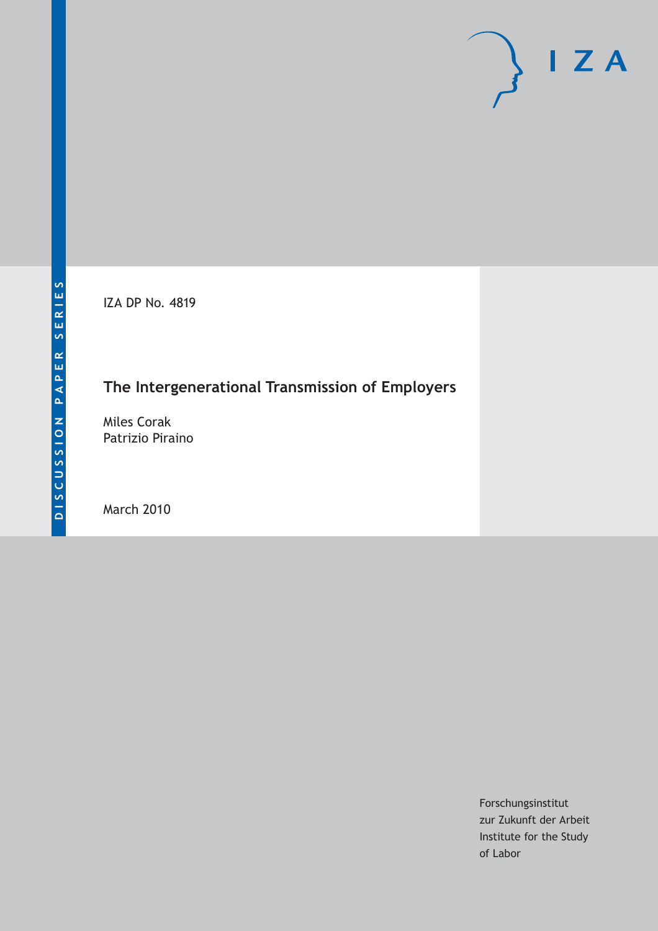IZA DP No. 4819

## **The Intergenerational Transmission of Employers**

Miles Corak Patrizio Piraino

March 2010

Forschungsinstitut zur Zukunft der Arbeit Institute for the Study of Labor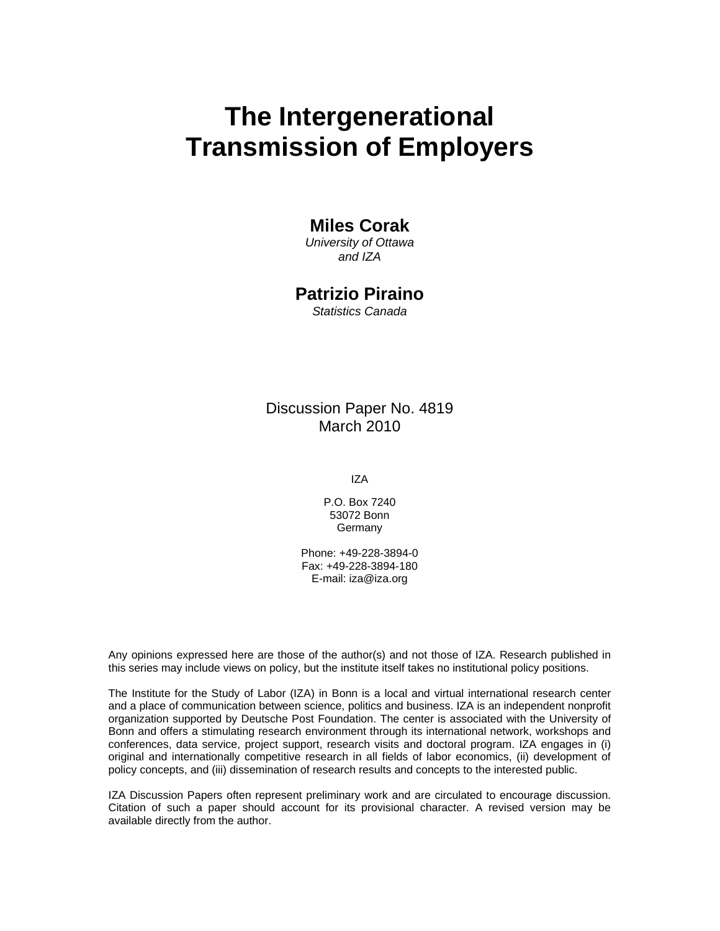# **The Intergenerational Transmission of Employers**

## **Miles Corak**

*University of Ottawa and IZA* 

## **Patrizio Piraino**

*Statistics Canada* 

## Discussion Paper No. 4819 March 2010

IZA

P.O. Box 7240 53072 Bonn Germany

Phone: +49-228-3894-0 Fax: +49-228-3894-180 E-mail: iza@iza.org

Any opinions expressed here are those of the author(s) and not those of IZA. Research published in this series may include views on policy, but the institute itself takes no institutional policy positions.

The Institute for the Study of Labor (IZA) in Bonn is a local and virtual international research center and a place of communication between science, politics and business. IZA is an independent nonprofit organization supported by Deutsche Post Foundation. The center is associated with the University of Bonn and offers a stimulating research environment through its international network, workshops and conferences, data service, project support, research visits and doctoral program. IZA engages in (i) original and internationally competitive research in all fields of labor economics, (ii) development of policy concepts, and (iii) dissemination of research results and concepts to the interested public.

IZA Discussion Papers often represent preliminary work and are circulated to encourage discussion. Citation of such a paper should account for its provisional character. A revised version may be available directly from the author.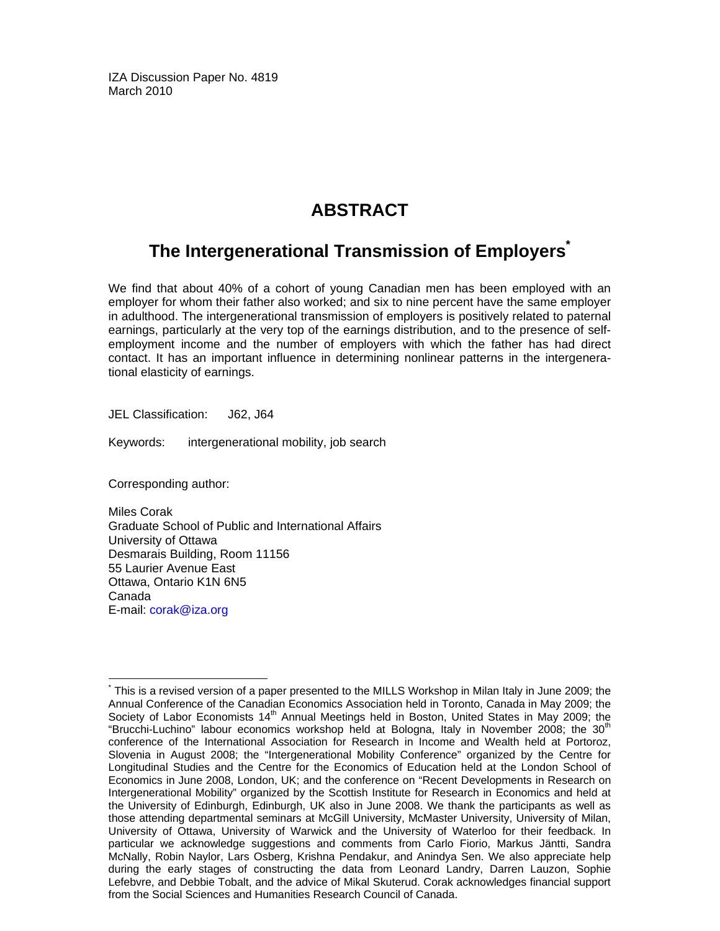IZA Discussion Paper No. 4819 March 2010

## **ABSTRACT**

## **The Intergenerational Transmission of Employers\***

We find that about 40% of a cohort of young Canadian men has been employed with an employer for whom their father also worked; and six to nine percent have the same employer in adulthood. The intergenerational transmission of employers is positively related to paternal earnings, particularly at the very top of the earnings distribution, and to the presence of selfemployment income and the number of employers with which the father has had direct contact. It has an important influence in determining nonlinear patterns in the intergenerational elasticity of earnings.

JEL Classification: J62, J64

Keywords: intergenerational mobility, job search

Corresponding author:

Miles Corak Graduate School of Public and International Affairs University of Ottawa Desmarais Building, Room 11156 55 Laurier Avenue East Ottawa, Ontario K1N 6N5 Canada E-mail: corak@iza.org

<sup>-</sup>\* This is a revised version of a paper presented to the MILLS Workshop in Milan Italy in June 2009; the Annual Conference of the Canadian Economics Association held in Toronto, Canada in May 2009; the Society of Labor Economists  $14<sup>th</sup>$  Annual Meetings held in Boston, United States in May 2009; the "Brucchi-Luchino" labour economics workshop held at Bologna, Italy in November 2008; the  $30<sup>th</sup>$ conference of the International Association for Research in Income and Wealth held at Portoroz, Slovenia in August 2008; the "Intergenerational Mobility Conference" organized by the Centre for Longitudinal Studies and the Centre for the Economics of Education held at the London School of Economics in June 2008, London, UK; and the conference on "Recent Developments in Research on Intergenerational Mobility" organized by the Scottish Institute for Research in Economics and held at the University of Edinburgh, Edinburgh, UK also in June 2008. We thank the participants as well as those attending departmental seminars at McGill University, McMaster University, University of Milan, University of Ottawa, University of Warwick and the University of Waterloo for their feedback. In particular we acknowledge suggestions and comments from Carlo Fiorio, Markus Jäntti, Sandra McNally, Robin Naylor, Lars Osberg, Krishna Pendakur, and Anindya Sen. We also appreciate help during the early stages of constructing the data from Leonard Landry, Darren Lauzon, Sophie Lefebvre, and Debbie Tobalt, and the advice of Mikal Skuterud. Corak acknowledges financial support from the Social Sciences and Humanities Research Council of Canada.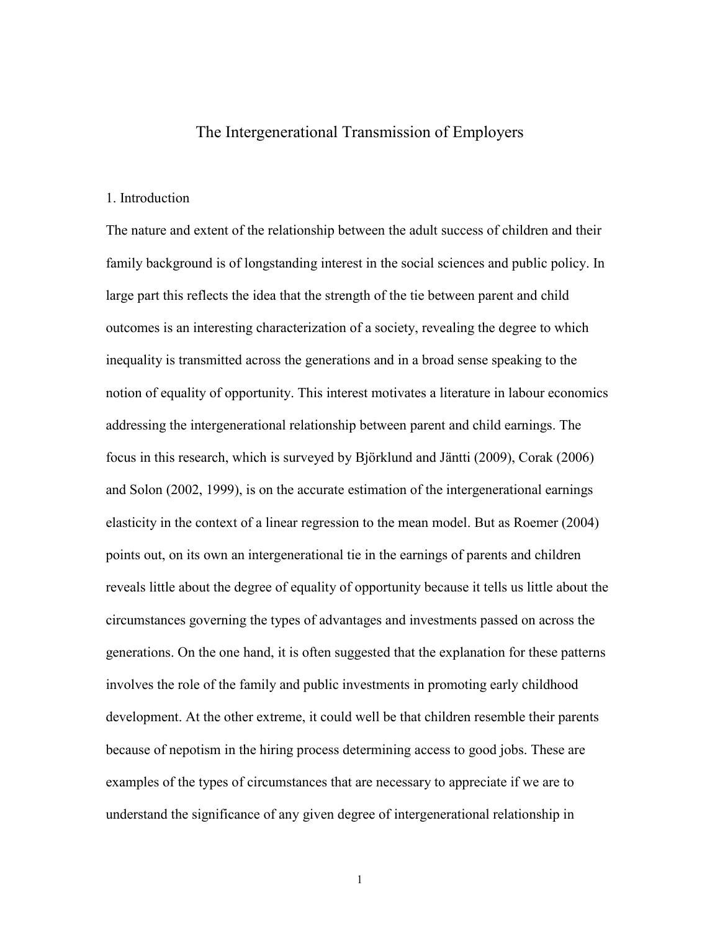## The Intergenerational Transmission of Employers

#### 1. Introduction

The nature and extent of the relationship between the adult success of children and their family background is of longstanding interest in the social sciences and public policy. In large part this reflects the idea that the strength of the tie between parent and child outcomes is an interesting characterization of a society, revealing the degree to which inequality is transmitted across the generations and in a broad sense speaking to the notion of equality of opportunity. This interest motivates a literature in labour economics addressing the intergenerational relationship between parent and child earnings. The focus in this research, which is surveyed by Björklund and Jäntti (2009), Corak (2006) and Solon (2002, 1999), is on the accurate estimation of the intergenerational earnings elasticity in the context of a linear regression to the mean model. But as Roemer (2004) points out, on its own an intergenerational tie in the earnings of parents and children reveals little about the degree of equality of opportunity because it tells us little about the circumstances governing the types of advantages and investments passed on across the generations. On the one hand, it is often suggested that the explanation for these patterns involves the role of the family and public investments in promoting early childhood development. At the other extreme, it could well be that children resemble their parents because of nepotism in the hiring process determining access to good jobs. These are examples of the types of circumstances that are necessary to appreciate if we are to understand the significance of any given degree of intergenerational relationship in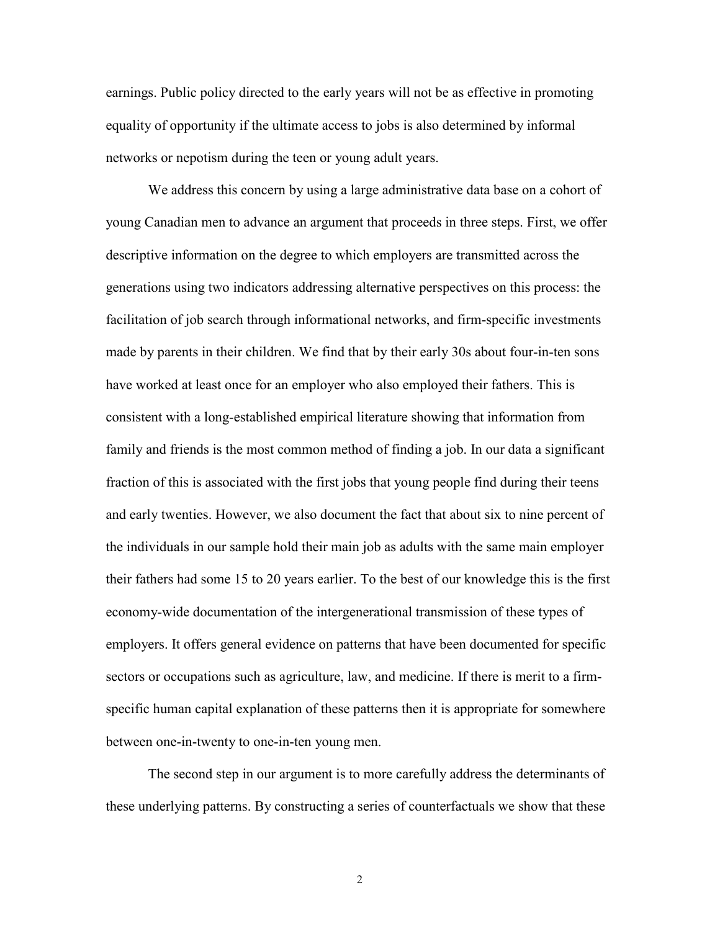earnings. Public policy directed to the early years will not be as effective in promoting equality of opportunity if the ultimate access to jobs is also determined by informal networks or nepotism during the teen or young adult years.

We address this concern by using a large administrative data base on a cohort of young Canadian men to advance an argument that proceeds in three steps. First, we offer descriptive information on the degree to which employers are transmitted across the generations using two indicators addressing alternative perspectives on this process: the facilitation of job search through informational networks, and firm-specific investments made by parents in their children. We find that by their early 30s about four-in-ten sons have worked at least once for an employer who also employed their fathers. This is consistent with a long-established empirical literature showing that information from family and friends is the most common method of finding a job. In our data a significant fraction of this is associated with the first jobs that young people find during their teens and early twenties. However, we also document the fact that about six to nine percent of the individuals in our sample hold their main job as adults with the same main employer their fathers had some 15 to 20 years earlier. To the best of our knowledge this is the first economy-wide documentation of the intergenerational transmission of these types of employers. It offers general evidence on patterns that have been documented for specific sectors or occupations such as agriculture, law, and medicine. If there is merit to a firmspecific human capital explanation of these patterns then it is appropriate for somewhere between one-in-twenty to one-in-ten young men.

The second step in our argument is to more carefully address the determinants of these underlying patterns. By constructing a series of counterfactuals we show that these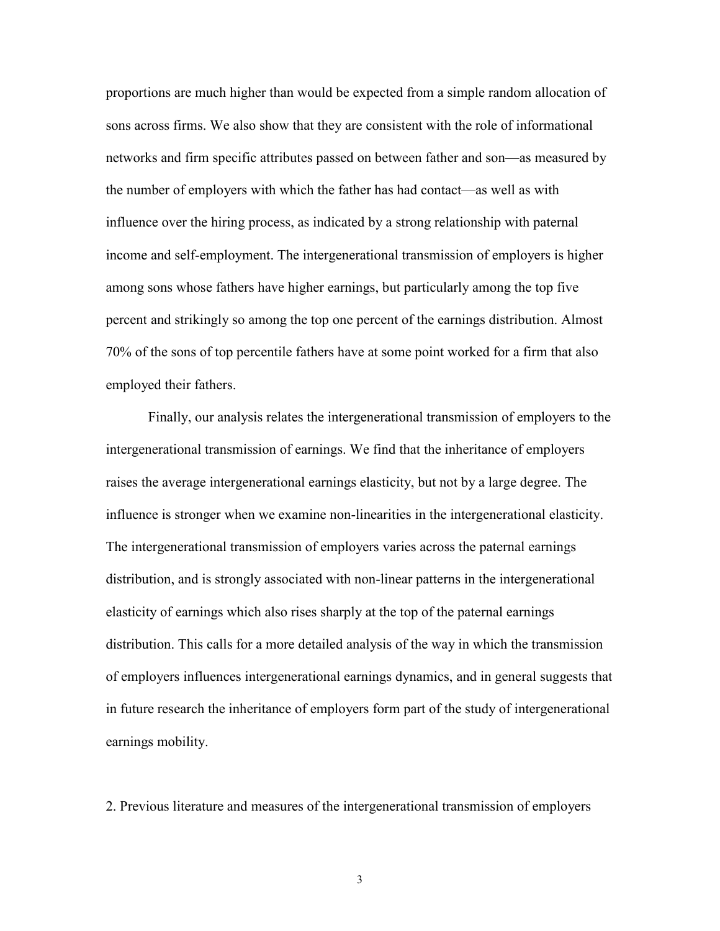proportions are much higher than would be expected from a simple random allocation of sons across firms. We also show that they are consistent with the role of informational networks and firm specific attributes passed on between father and son—as measured by the number of employers with which the father has had contact—as well as with influence over the hiring process, as indicated by a strong relationship with paternal income and self-employment. The intergenerational transmission of employers is higher among sons whose fathers have higher earnings, but particularly among the top five percent and strikingly so among the top one percent of the earnings distribution. Almost 70% of the sons of top percentile fathers have at some point worked for a firm that also employed their fathers.

Finally, our analysis relates the intergenerational transmission of employers to the intergenerational transmission of earnings. We find that the inheritance of employers raises the average intergenerational earnings elasticity, but not by a large degree. The influence is stronger when we examine non-linearities in the intergenerational elasticity. The intergenerational transmission of employers varies across the paternal earnings distribution, and is strongly associated with non-linear patterns in the intergenerational elasticity of earnings which also rises sharply at the top of the paternal earnings distribution. This calls for a more detailed analysis of the way in which the transmission of employers influences intergenerational earnings dynamics, and in general suggests that in future research the inheritance of employers form part of the study of intergenerational earnings mobility.

2. Previous literature and measures of the intergenerational transmission of employers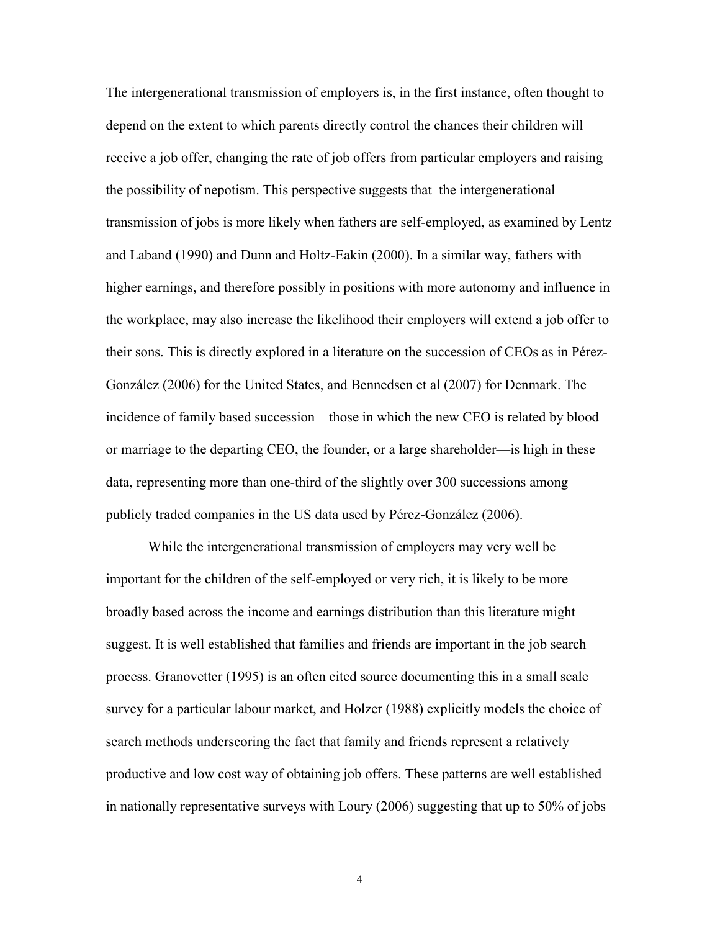The intergenerational transmission of employers is, in the first instance, often thought to depend on the extent to which parents directly control the chances their children will receive a job offer, changing the rate of job offers from particular employers and raising the possibility of nepotism. This perspective suggests that the intergenerational transmission of jobs is more likely when fathers are self-employed, as examined by Lentz and Laband (1990) and Dunn and Holtz-Eakin (2000). In a similar way, fathers with higher earnings, and therefore possibly in positions with more autonomy and influence in the workplace, may also increase the likelihood their employers will extend a job offer to their sons. This is directly explored in a literature on the succession of CEOs as in Pérez-González (2006) for the United States, and Bennedsen et al (2007) for Denmark. The incidence of family based succession—those in which the new CEO is related by blood or marriage to the departing CEO, the founder, or a large shareholder—is high in these data, representing more than one-third of the slightly over 300 successions among publicly traded companies in the US data used by Pérez-González (2006).

While the intergenerational transmission of employers may very well be important for the children of the self-employed or very rich, it is likely to be more broadly based across the income and earnings distribution than this literature might suggest. It is well established that families and friends are important in the job search process. Granovetter (1995) is an often cited source documenting this in a small scale survey for a particular labour market, and Holzer (1988) explicitly models the choice of search methods underscoring the fact that family and friends represent a relatively productive and low cost way of obtaining job offers. These patterns are well established in nationally representative surveys with Loury (2006) suggesting that up to 50% of jobs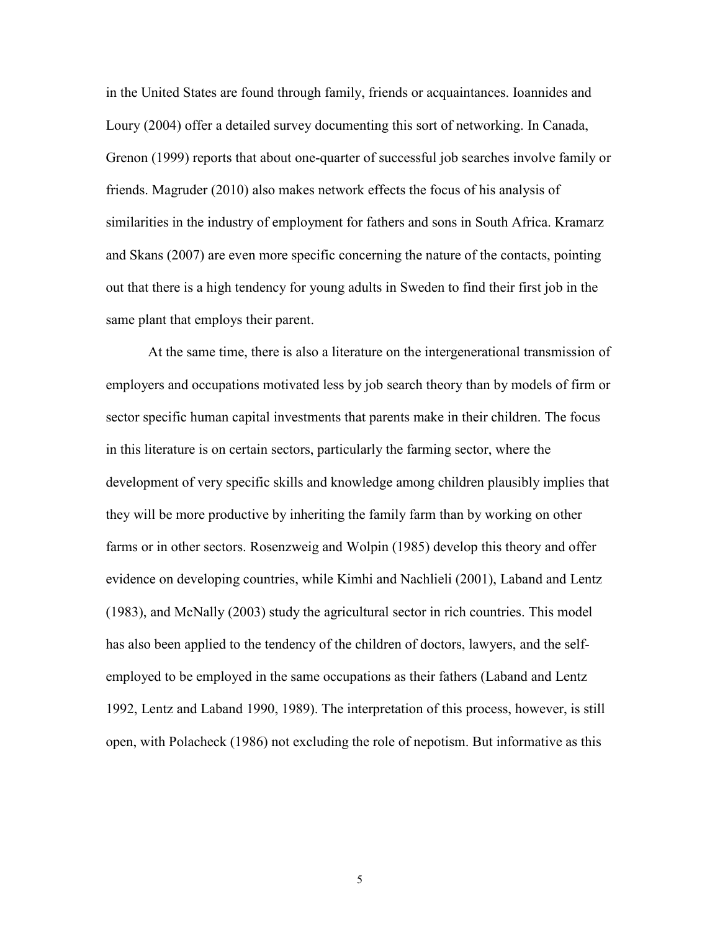in the United States are found through family, friends or acquaintances. Ioannides and Loury (2004) offer a detailed survey documenting this sort of networking. In Canada, Grenon (1999) reports that about one-quarter of successful job searches involve family or friends. Magruder (2010) also makes network effects the focus of his analysis of similarities in the industry of employment for fathers and sons in South Africa. Kramarz and Skans (2007) are even more specific concerning the nature of the contacts, pointing out that there is a high tendency for young adults in Sweden to find their first job in the same plant that employs their parent.

At the same time, there is also a literature on the intergenerational transmission of employers and occupations motivated less by job search theory than by models of firm or sector specific human capital investments that parents make in their children. The focus in this literature is on certain sectors, particularly the farming sector, where the development of very specific skills and knowledge among children plausibly implies that they will be more productive by inheriting the family farm than by working on other farms or in other sectors. Rosenzweig and Wolpin (1985) develop this theory and offer evidence on developing countries, while Kimhi and Nachlieli (2001), Laband and Lentz (1983), and McNally (2003) study the agricultural sector in rich countries. This model has also been applied to the tendency of the children of doctors, lawyers, and the selfemployed to be employed in the same occupations as their fathers (Laband and Lentz 1992, Lentz and Laband 1990, 1989). The interpretation of this process, however, is still open, with Polacheck (1986) not excluding the role of nepotism. But informative as this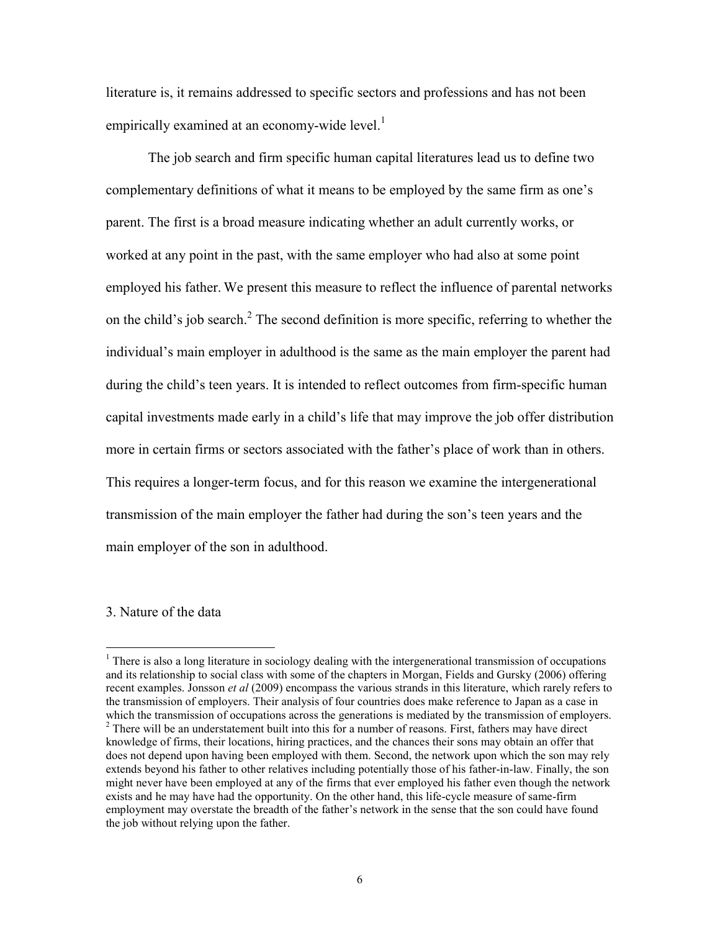literature is, it remains addressed to specific sectors and professions and has not been empirically examined at an economy-wide level. $<sup>1</sup>$ </sup>

The job search and firm specific human capital literatures lead us to define two complementary definitions of what it means to be employed by the same firm as one's parent. The first is a broad measure indicating whether an adult currently works, or worked at any point in the past, with the same employer who had also at some point employed his father. We present this measure to reflect the influence of parental networks on the child's job search.<sup>2</sup> The second definition is more specific, referring to whether the individual's main employer in adulthood is the same as the main employer the parent had during the child's teen years. It is intended to reflect outcomes from firm-specific human capital investments made early in a child's life that may improve the job offer distribution more in certain firms or sectors associated with the father's place of work than in others. This requires a longer-term focus, and for this reason we examine the intergenerational transmission of the main employer the father had during the son's teen years and the main employer of the son in adulthood.

#### 3. Nature of the data

<sup>&</sup>lt;sup>1</sup> There is also a long literature in sociology dealing with the intergenerational transmission of occupations and its relationship to social class with some of the chapters in Morgan, Fields and Gursky (2006) offering recent examples. Jonsson *et al* (2009) encompass the various strands in this literature, which rarely refers to the transmission of employers. Their analysis of four countries does make reference to Japan as a case in which the transmission of occupations across the generations is mediated by the transmission of employers.  $2$  There will be an understatement built into this for a number of reasons. First, fathers may have direct knowledge of firms, their locations, hiring practices, and the chances their sons may obtain an offer that does not depend upon having been employed with them. Second, the network upon which the son may rely extends beyond his father to other relatives including potentially those of his father-in-law. Finally, the son might never have been employed at any of the firms that ever employed his father even though the network exists and he may have had the opportunity. On the other hand, this life-cycle measure of same-firm employment may overstate the breadth of the father's network in the sense that the son could have found the job without relying upon the father.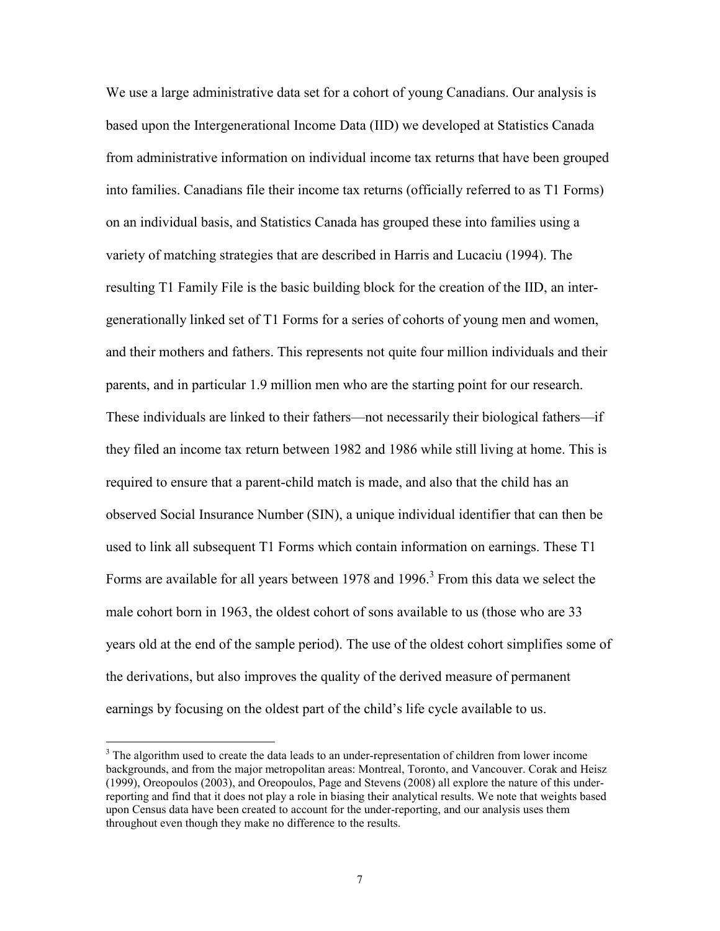We use a large administrative data set for a cohort of young Canadians. Our analysis is based upon the Intergenerational Income Data (IID) we developed at Statistics Canada from administrative information on individual income tax returns that have been grouped into families. Canadians file their income tax returns (officially referred to as T1 Forms) on an individual basis, and Statistics Canada has grouped these into families using a variety of matching strategies that are described in Harris and Lucaciu (1994). The resulting T1 Family File is the basic building block for the creation of the IID, an intergenerationally linked set of T1 Forms for a series of cohorts of young men and women, and their mothers and fathers. This represents not quite four million individuals and their parents, and in particular 1.9 million men who are the starting point for our research. These individuals are linked to their fathers—not necessarily their biological fathers—if they filed an income tax return between 1982 and 1986 while still living at home. This is required to ensure that a parent-child match is made, and also that the child has an observed Social Insurance Number (SIN), a unique individual identifier that can then be used to link all subsequent T1 Forms which contain information on earnings. These T1 Forms are available for all years between 1978 and 1996.<sup>3</sup> From this data we select the male cohort born in 1963, the oldest cohort of sons available to us (those who are 33 years old at the end of the sample period). The use of the oldest cohort simplifies some of the derivations, but also improves the quality of the derived measure of permanent earnings by focusing on the oldest part of the child's life cycle available to us.

<sup>&</sup>lt;sup>3</sup> The algorithm used to create the data leads to an under-representation of children from lower income backgrounds, and from the major metropolitan areas: Montreal, Toronto, and Vancouver. Corak and Heisz (1999), Oreopoulos (2003), and Oreopoulos, Page and Stevens (2008) all explore the nature of this underreporting and find that it does not play a role in biasing their analytical results. We note that weights based upon Census data have been created to account for the under-reporting, and our analysis uses them throughout even though they make no difference to the results.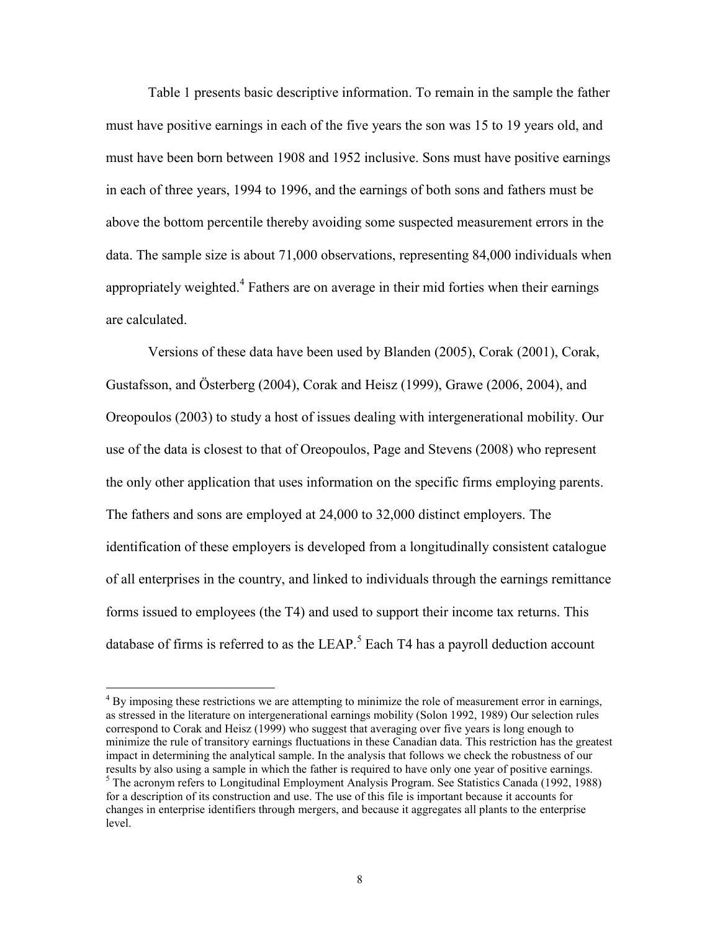Table 1 presents basic descriptive information. To remain in the sample the father must have positive earnings in each of the five years the son was 15 to 19 years old, and must have been born between 1908 and 1952 inclusive. Sons must have positive earnings in each of three years, 1994 to 1996, and the earnings of both sons and fathers must be above the bottom percentile thereby avoiding some suspected measurement errors in the data. The sample size is about 71,000 observations, representing 84,000 individuals when appropriately weighted.<sup>4</sup> Fathers are on average in their mid forties when their earnings are calculated.

Versions of these data have been used by Blanden (2005), Corak (2001), Corak, Gustafsson, and Österberg (2004), Corak and Heisz (1999), Grawe (2006, 2004), and Oreopoulos (2003) to study a host of issues dealing with intergenerational mobility. Our use of the data is closest to that of Oreopoulos, Page and Stevens (2008) who represent the only other application that uses information on the specific firms employing parents. The fathers and sons are employed at 24,000 to 32,000 distinct employers. The identification of these employers is developed from a longitudinally consistent catalogue of all enterprises in the country, and linked to individuals through the earnings remittance forms issued to employees (the T4) and used to support their income tax returns. This database of firms is referred to as the LEAP.<sup>5</sup> Each T4 has a payroll deduction account

<sup>&</sup>lt;sup>4</sup> By imposing these restrictions we are attempting to minimize the role of measurement error in earnings, as stressed in the literature on intergenerational earnings mobility (Solon 1992, 1989) Our selection rules correspond to Corak and Heisz (1999) who suggest that averaging over five years is long enough to minimize the rule of transitory earnings fluctuations in these Canadian data. This restriction has the greatest impact in determining the analytical sample. In the analysis that follows we check the robustness of our results by also using a sample in which the father is required to have only one year of positive earnings. <sup>5</sup> The acronym refers to Longitudinal Employment Analysis Program. See Statistics Canada (1992, 1988) for a description of its construction and use. The use of this file is important because it accounts for

changes in enterprise identifiers through mergers, and because it aggregates all plants to the enterprise level.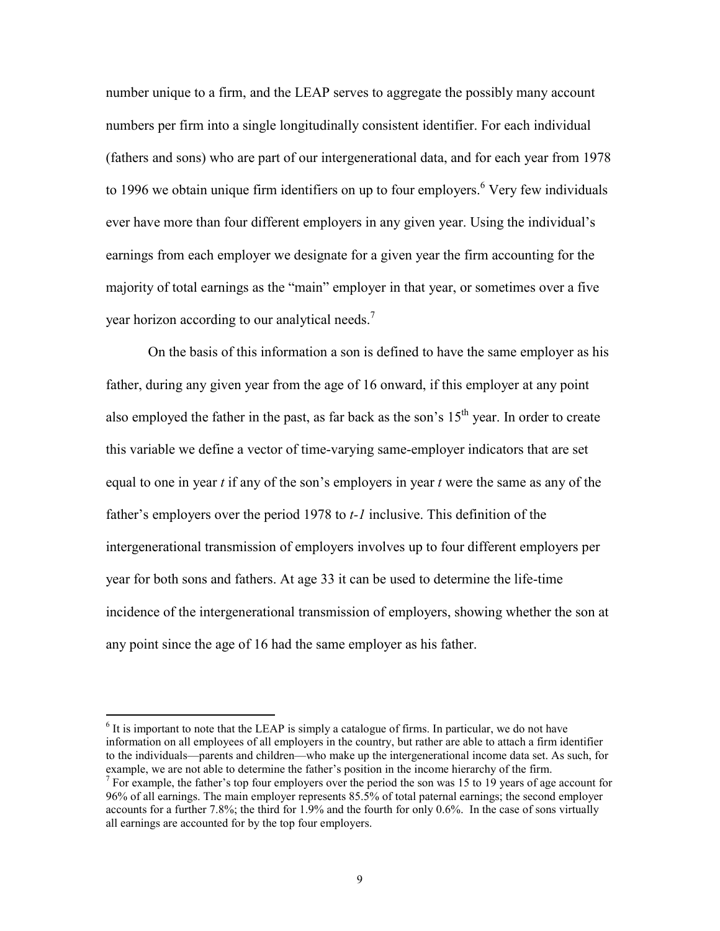number unique to a firm, and the LEAP serves to aggregate the possibly many account numbers per firm into a single longitudinally consistent identifier. For each individual (fathers and sons) who are part of our intergenerational data, and for each year from 1978 to 1996 we obtain unique firm identifiers on up to four employers.  $6$  Very few individuals ever have more than four different employers in any given year. Using the individual's earnings from each employer we designate for a given year the firm accounting for the majority of total earnings as the "main" employer in that year, or sometimes over a five year horizon according to our analytical needs.<sup>7</sup>

On the basis of this information a son is defined to have the same employer as his father, during any given year from the age of 16 onward, if this employer at any point also employed the father in the past, as far back as the son's  $15<sup>th</sup>$  year. In order to create this variable we define a vector of time-varying same-employer indicators that are set equal to one in year *t* if any of the son's employers in year *t* were the same as any of the father's employers over the period 1978 to *t-1* inclusive. This definition of the intergenerational transmission of employers involves up to four different employers per year for both sons and fathers. At age 33 it can be used to determine the life-time incidence of the intergenerational transmission of employers, showing whether the son at any point since the age of 16 had the same employer as his father.

 $<sup>6</sup>$  It is important to note that the LEAP is simply a catalogue of firms. In particular, we do not have</sup> information on all employees of all employers in the country, but rather are able to attach a firm identifier to the individuals—parents and children—who make up the intergenerational income data set. As such, for example, we are not able to determine the father's position in the income hierarchy of the firm.

<sup>&</sup>lt;sup>7</sup> For example, the father's top four employers over the period the son was 15 to 19 years of age account for 96% of all earnings. The main employer represents 85.5% of total paternal earnings; the second employer accounts for a further 7.8%; the third for 1.9% and the fourth for only 0.6%. In the case of sons virtually all earnings are accounted for by the top four employers.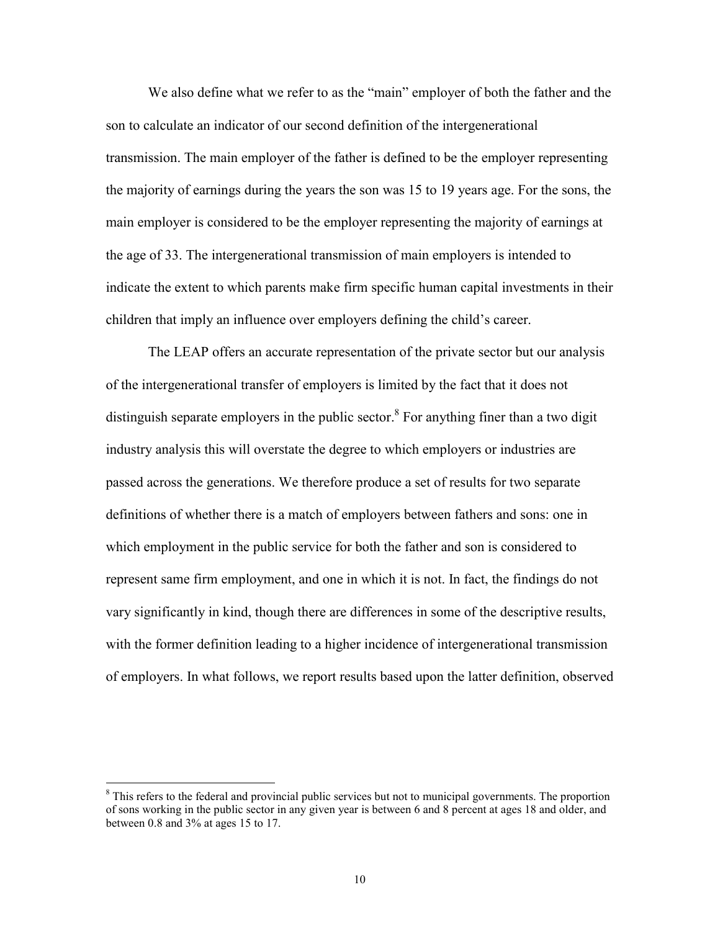We also define what we refer to as the "main" employer of both the father and the son to calculate an indicator of our second definition of the intergenerational transmission. The main employer of the father is defined to be the employer representing the majority of earnings during the years the son was 15 to 19 years age. For the sons, the main employer is considered to be the employer representing the majority of earnings at the age of 33. The intergenerational transmission of main employers is intended to indicate the extent to which parents make firm specific human capital investments in their children that imply an influence over employers defining the child's career.

The LEAP offers an accurate representation of the private sector but our analysis of the intergenerational transfer of employers is limited by the fact that it does not distinguish separate employers in the public sector.<sup>8</sup> For anything finer than a two digit industry analysis this will overstate the degree to which employers or industries are passed across the generations. We therefore produce a set of results for two separate definitions of whether there is a match of employers between fathers and sons: one in which employment in the public service for both the father and son is considered to represent same firm employment, and one in which it is not. In fact, the findings do not vary significantly in kind, though there are differences in some of the descriptive results, with the former definition leading to a higher incidence of intergenerational transmission of employers. In what follows, we report results based upon the latter definition, observed

<sup>&</sup>lt;sup>8</sup> This refers to the federal and provincial public services but not to municipal governments. The proportion of sons working in the public sector in any given year is between 6 and 8 percent at ages 18 and older, and between 0.8 and 3% at ages 15 to 17.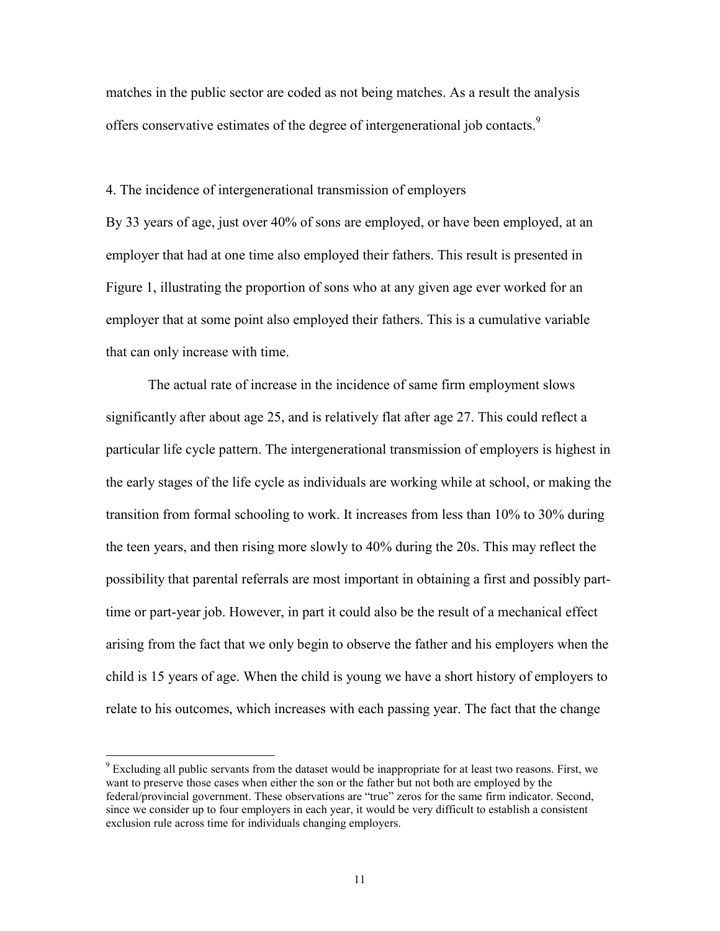matches in the public sector are coded as not being matches. As a result the analysis offers conservative estimates of the degree of intergenerational job contacts.<sup>9</sup>

#### 4. The incidence of intergenerational transmission of employers

By 33 years of age, just over 40% of sons are employed, or have been employed, at an employer that had at one time also employed their fathers. This result is presented in Figure 1, illustrating the proportion of sons who at any given age ever worked for an employer that at some point also employed their fathers. This is a cumulative variable that can only increase with time.

The actual rate of increase in the incidence of same firm employment slows significantly after about age 25, and is relatively flat after age 27. This could reflect a particular life cycle pattern. The intergenerational transmission of employers is highest in the early stages of the life cycle as individuals are working while at school, or making the transition from formal schooling to work. It increases from less than 10% to 30% during the teen years, and then rising more slowly to 40% during the 20s. This may reflect the possibility that parental referrals are most important in obtaining a first and possibly parttime or part-year job. However, in part it could also be the result of a mechanical effect arising from the fact that we only begin to observe the father and his employers when the child is 15 years of age. When the child is young we have a short history of employers to relate to his outcomes, which increases with each passing year. The fact that the change

<sup>&</sup>lt;sup>9</sup> Excluding all public servants from the dataset would be inappropriate for at least two reasons. First, we want to preserve those cases when either the son or the father but not both are employed by the federal/provincial government. These observations are "true" zeros for the same firm indicator. Second, since we consider up to four employers in each year, it would be very difficult to establish a consistent exclusion rule across time for individuals changing employers.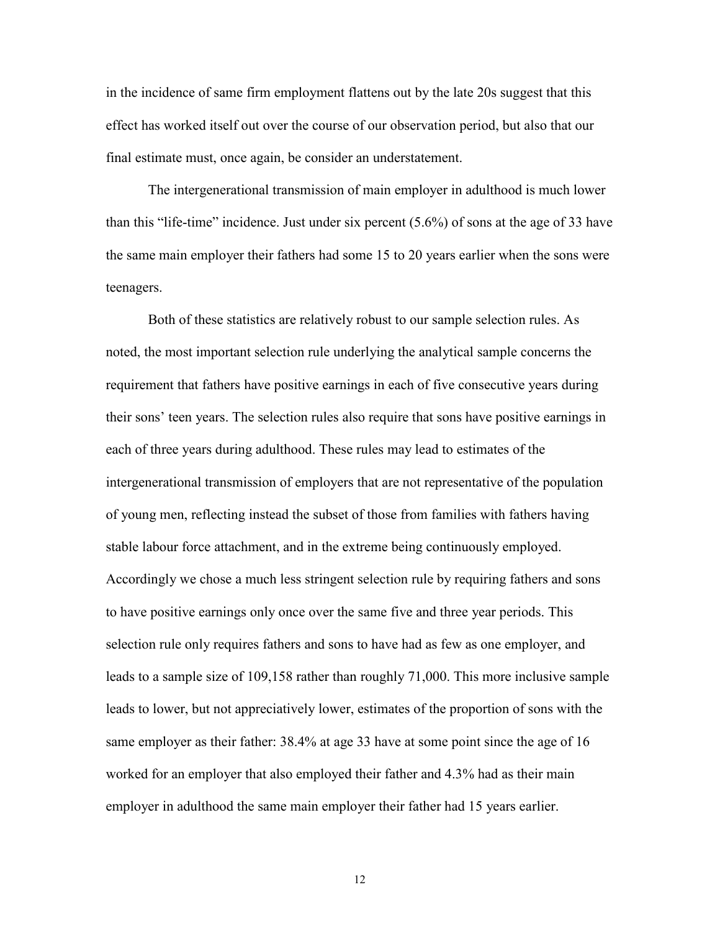in the incidence of same firm employment flattens out by the late 20s suggest that this effect has worked itself out over the course of our observation period, but also that our final estimate must, once again, be consider an understatement.

The intergenerational transmission of main employer in adulthood is much lower than this "life-time" incidence. Just under six percent (5.6%) of sons at the age of 33 have the same main employer their fathers had some 15 to 20 years earlier when the sons were teenagers.

Both of these statistics are relatively robust to our sample selection rules. As noted, the most important selection rule underlying the analytical sample concerns the requirement that fathers have positive earnings in each of five consecutive years during their sons' teen years. The selection rules also require that sons have positive earnings in each of three years during adulthood. These rules may lead to estimates of the intergenerational transmission of employers that are not representative of the population of young men, reflecting instead the subset of those from families with fathers having stable labour force attachment, and in the extreme being continuously employed. Accordingly we chose a much less stringent selection rule by requiring fathers and sons to have positive earnings only once over the same five and three year periods. This selection rule only requires fathers and sons to have had as few as one employer, and leads to a sample size of 109,158 rather than roughly 71,000. This more inclusive sample leads to lower, but not appreciatively lower, estimates of the proportion of sons with the same employer as their father: 38.4% at age 33 have at some point since the age of 16 worked for an employer that also employed their father and 4.3% had as their main employer in adulthood the same main employer their father had 15 years earlier.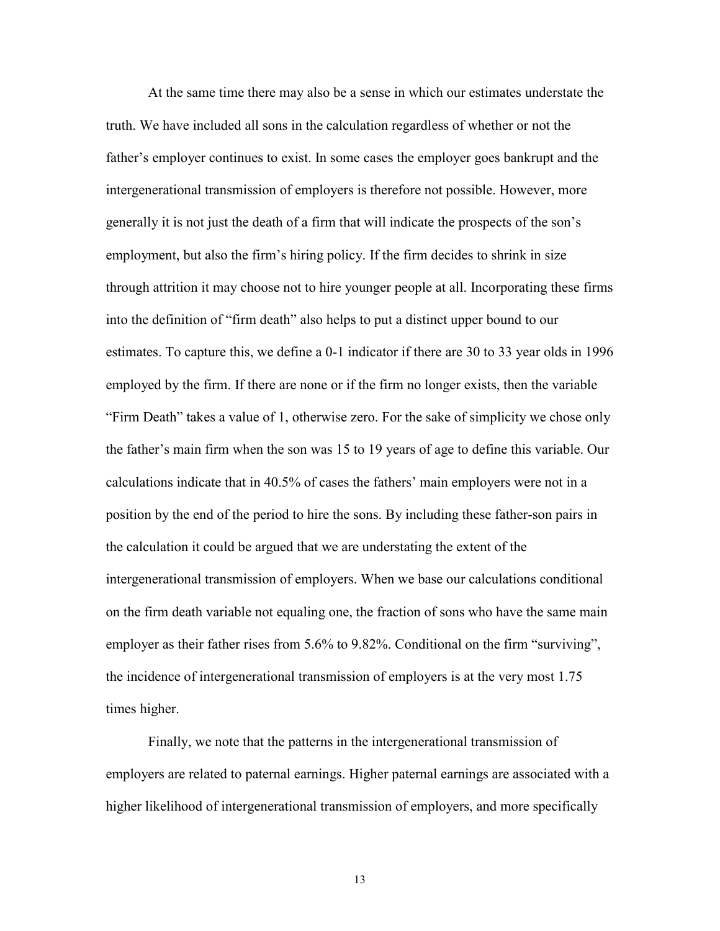At the same time there may also be a sense in which our estimates understate the truth. We have included all sons in the calculation regardless of whether or not the father's employer continues to exist. In some cases the employer goes bankrupt and the intergenerational transmission of employers is therefore not possible. However, more generally it is not just the death of a firm that will indicate the prospects of the son's employment, but also the firm's hiring policy. If the firm decides to shrink in size through attrition it may choose not to hire younger people at all. Incorporating these firms into the definition of "firm death" also helps to put a distinct upper bound to our estimates. To capture this, we define a 0-1 indicator if there are 30 to 33 year olds in 1996 employed by the firm. If there are none or if the firm no longer exists, then the variable "Firm Death" takes a value of 1, otherwise zero. For the sake of simplicity we chose only the father's main firm when the son was 15 to 19 years of age to define this variable. Our calculations indicate that in 40.5% of cases the fathers' main employers were not in a position by the end of the period to hire the sons. By including these father-son pairs in the calculation it could be argued that we are understating the extent of the intergenerational transmission of employers. When we base our calculations conditional on the firm death variable not equaling one, the fraction of sons who have the same main employer as their father rises from 5.6% to 9.82%. Conditional on the firm "surviving", the incidence of intergenerational transmission of employers is at the very most 1.75 times higher.

Finally, we note that the patterns in the intergenerational transmission of employers are related to paternal earnings. Higher paternal earnings are associated with a higher likelihood of intergenerational transmission of employers, and more specifically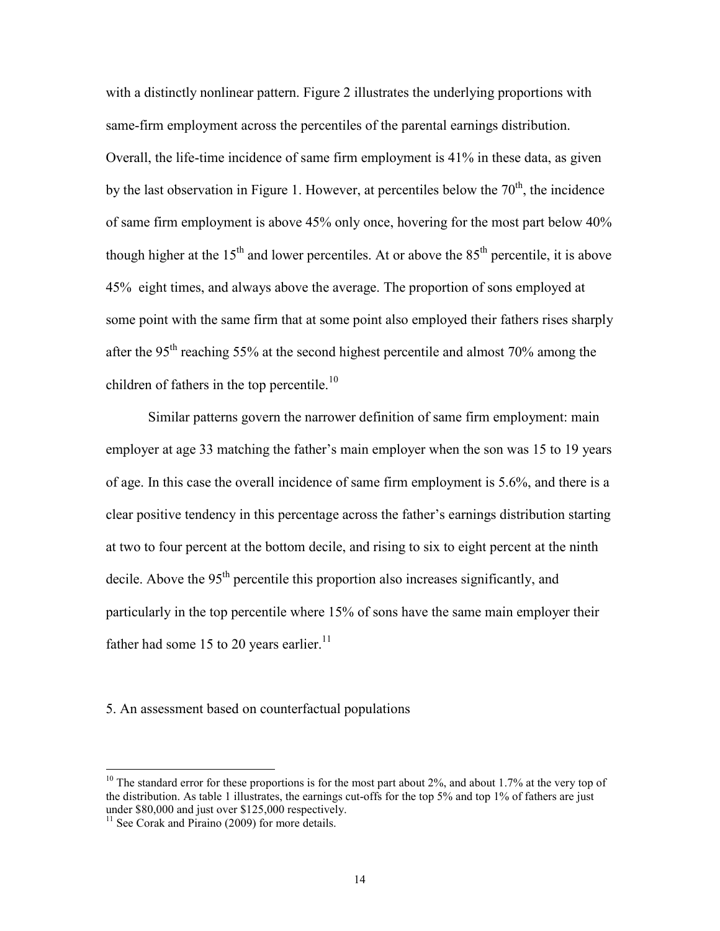with a distinctly nonlinear pattern. Figure 2 illustrates the underlying proportions with same-firm employment across the percentiles of the parental earnings distribution. Overall, the life-time incidence of same firm employment is 41% in these data, as given by the last observation in Figure 1. However, at percentiles below the  $70<sup>th</sup>$ , the incidence of same firm employment is above 45% only once, hovering for the most part below 40% though higher at the  $15<sup>th</sup>$  and lower percentiles. At or above the  $85<sup>th</sup>$  percentile, it is above 45% eight times, and always above the average. The proportion of sons employed at some point with the same firm that at some point also employed their fathers rises sharply after the 95th reaching 55% at the second highest percentile and almost 70% among the children of fathers in the top percentile.<sup>10</sup>

Similar patterns govern the narrower definition of same firm employment: main employer at age 33 matching the father's main employer when the son was 15 to 19 years of age. In this case the overall incidence of same firm employment is 5.6%, and there is a clear positive tendency in this percentage across the father's earnings distribution starting at two to four percent at the bottom decile, and rising to six to eight percent at the ninth decile. Above the  $95<sup>th</sup>$  percentile this proportion also increases significantly, and particularly in the top percentile where 15% of sons have the same main employer their father had some 15 to 20 years earlier.<sup>11</sup>

5. An assessment based on counterfactual populations

<sup>&</sup>lt;sup>10</sup> The standard error for these proportions is for the most part about 2%, and about 1.7% at the very top of the distribution. As table 1 illustrates, the earnings cut-offs for the top 5% and top 1% of fathers are just under \$80,000 and just over \$125,000 respectively.

 $11$  See Corak and Piraino (2009) for more details.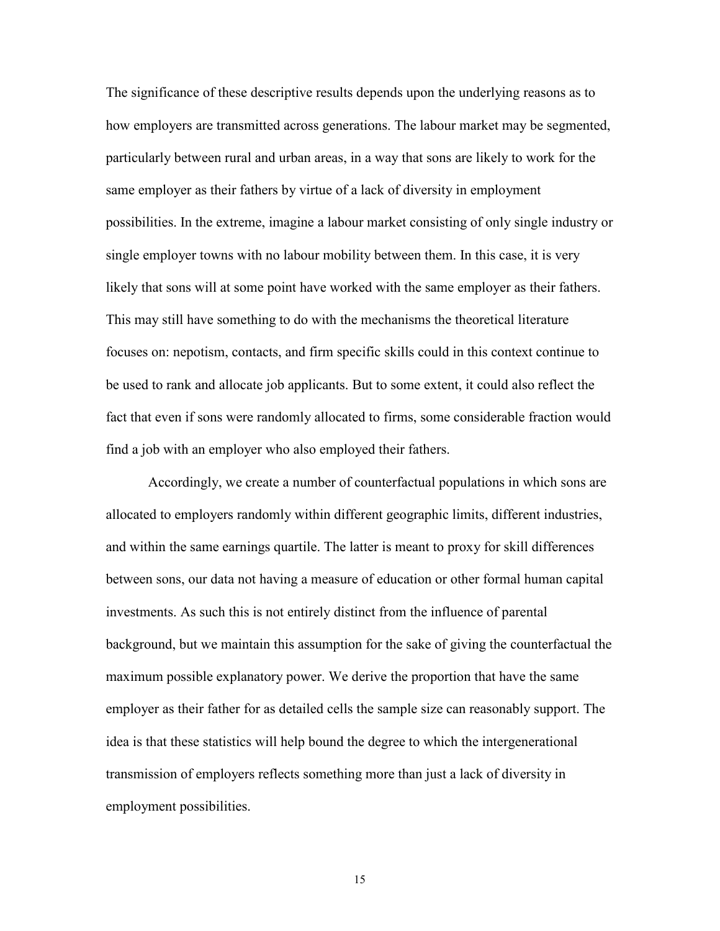The significance of these descriptive results depends upon the underlying reasons as to how employers are transmitted across generations. The labour market may be segmented, particularly between rural and urban areas, in a way that sons are likely to work for the same employer as their fathers by virtue of a lack of diversity in employment possibilities. In the extreme, imagine a labour market consisting of only single industry or single employer towns with no labour mobility between them. In this case, it is very likely that sons will at some point have worked with the same employer as their fathers. This may still have something to do with the mechanisms the theoretical literature focuses on: nepotism, contacts, and firm specific skills could in this context continue to be used to rank and allocate job applicants. But to some extent, it could also reflect the fact that even if sons were randomly allocated to firms, some considerable fraction would find a job with an employer who also employed their fathers.

Accordingly, we create a number of counterfactual populations in which sons are allocated to employers randomly within different geographic limits, different industries, and within the same earnings quartile. The latter is meant to proxy for skill differences between sons, our data not having a measure of education or other formal human capital investments. As such this is not entirely distinct from the influence of parental background, but we maintain this assumption for the sake of giving the counterfactual the maximum possible explanatory power. We derive the proportion that have the same employer as their father for as detailed cells the sample size can reasonably support. The idea is that these statistics will help bound the degree to which the intergenerational transmission of employers reflects something more than just a lack of diversity in employment possibilities.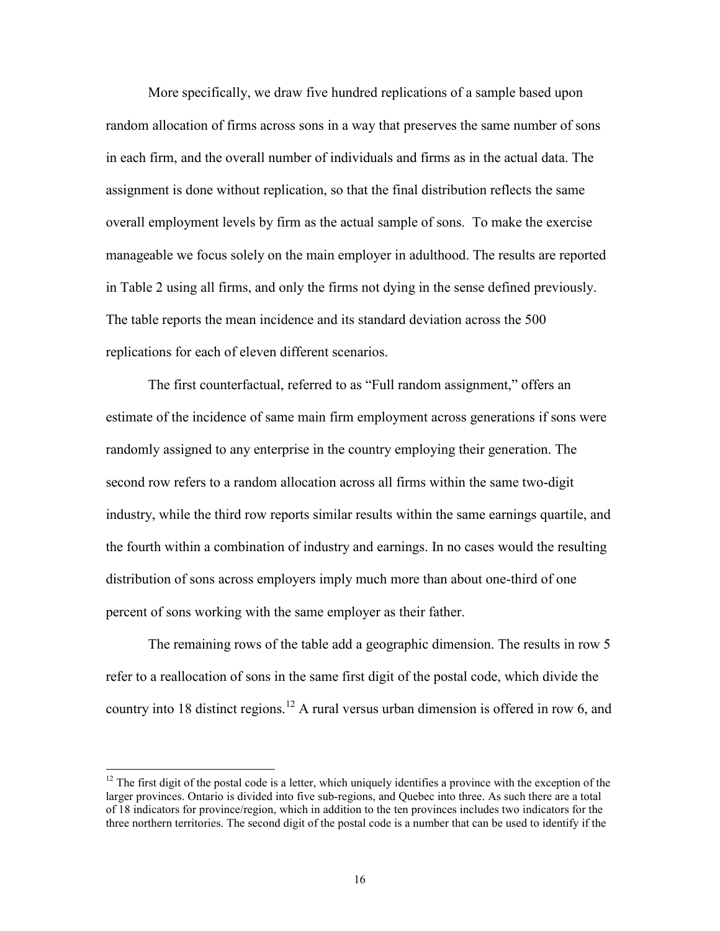More specifically, we draw five hundred replications of a sample based upon random allocation of firms across sons in a way that preserves the same number of sons in each firm, and the overall number of individuals and firms as in the actual data. The assignment is done without replication, so that the final distribution reflects the same overall employment levels by firm as the actual sample of sons. To make the exercise manageable we focus solely on the main employer in adulthood. The results are reported in Table 2 using all firms, and only the firms not dying in the sense defined previously. The table reports the mean incidence and its standard deviation across the 500 replications for each of eleven different scenarios.

The first counterfactual, referred to as "Full random assignment," offers an estimate of the incidence of same main firm employment across generations if sons were randomly assigned to any enterprise in the country employing their generation. The second row refers to a random allocation across all firms within the same two-digit industry, while the third row reports similar results within the same earnings quartile, and the fourth within a combination of industry and earnings. In no cases would the resulting distribution of sons across employers imply much more than about one-third of one percent of sons working with the same employer as their father.

The remaining rows of the table add a geographic dimension. The results in row 5 refer to a reallocation of sons in the same first digit of the postal code, which divide the country into 18 distinct regions.<sup>12</sup> A rural versus urban dimension is offered in row 6, and

 $12$  The first digit of the postal code is a letter, which uniquely identifies a province with the exception of the larger provinces. Ontario is divided into five sub-regions, and Quebec into three. As such there are a total of 18 indicators for province/region, which in addition to the ten provinces includes two indicators for the three northern territories. The second digit of the postal code is a number that can be used to identify if the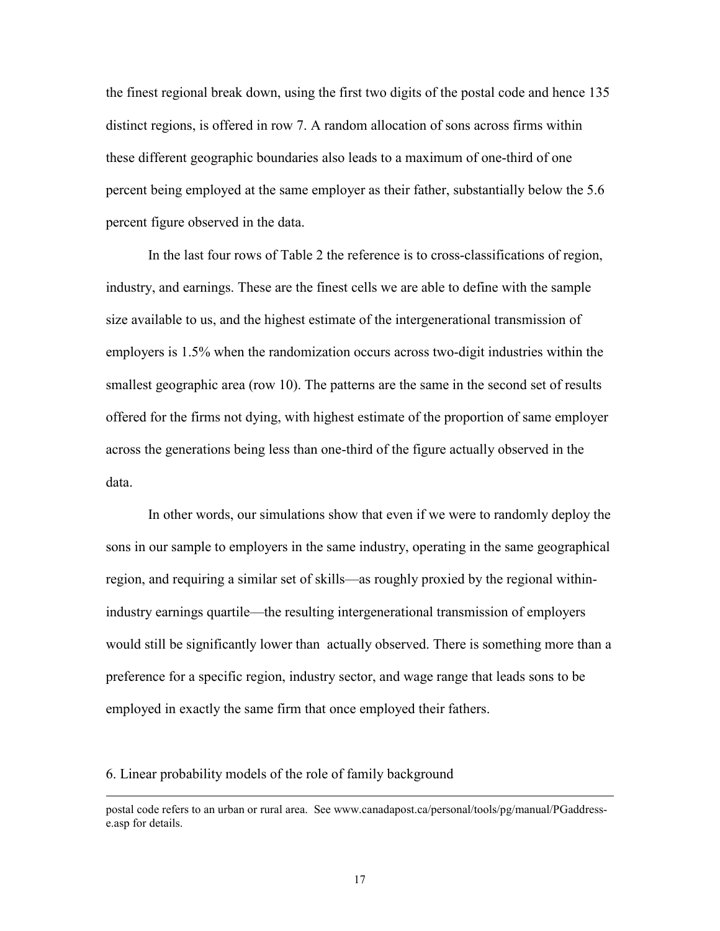the finest regional break down, using the first two digits of the postal code and hence 135 distinct regions, is offered in row 7. A random allocation of sons across firms within these different geographic boundaries also leads to a maximum of one-third of one percent being employed at the same employer as their father, substantially below the 5.6 percent figure observed in the data.

In the last four rows of Table 2 the reference is to cross-classifications of region, industry, and earnings. These are the finest cells we are able to define with the sample size available to us, and the highest estimate of the intergenerational transmission of employers is 1.5% when the randomization occurs across two-digit industries within the smallest geographic area (row 10). The patterns are the same in the second set of results offered for the firms not dying, with highest estimate of the proportion of same employer across the generations being less than one-third of the figure actually observed in the data.

In other words, our simulations show that even if we were to randomly deploy the sons in our sample to employers in the same industry, operating in the same geographical region, and requiring a similar set of skills—as roughly proxied by the regional withinindustry earnings quartile—the resulting intergenerational transmission of employers would still be significantly lower than actually observed. There is something more than a preference for a specific region, industry sector, and wage range that leads sons to be employed in exactly the same firm that once employed their fathers.

6. Linear probability models of the role of family background

postal code refers to an urban or rural area. See www.canadapost.ca/personal/tools/pg/manual/PGaddresse.asp for details.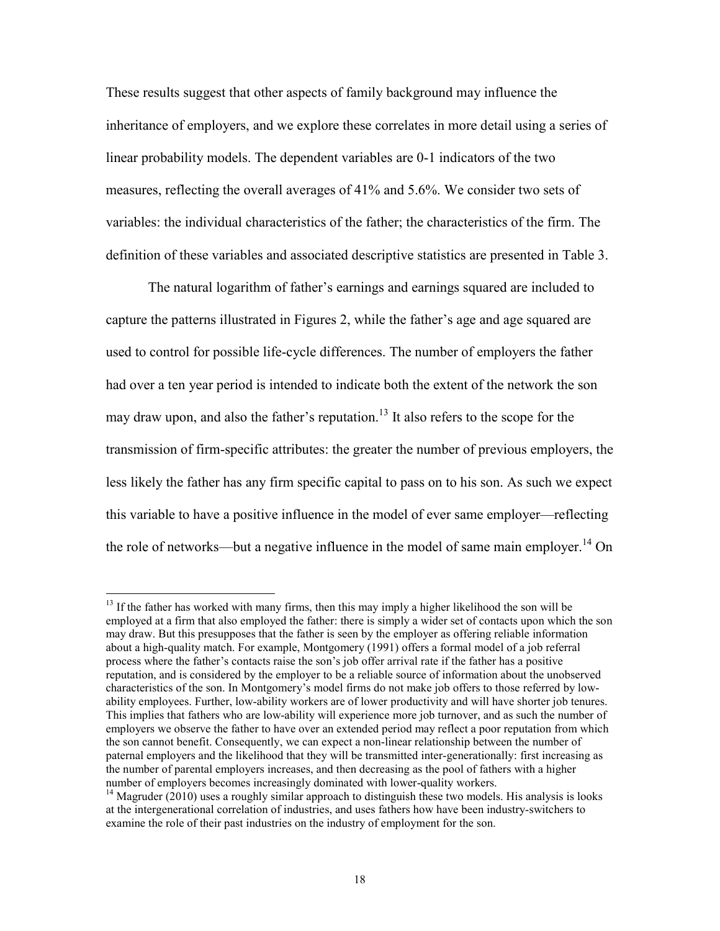These results suggest that other aspects of family background may influence the inheritance of employers, and we explore these correlates in more detail using a series of linear probability models. The dependent variables are 0-1 indicators of the two measures, reflecting the overall averages of 41% and 5.6%. We consider two sets of variables: the individual characteristics of the father; the characteristics of the firm. The definition of these variables and associated descriptive statistics are presented in Table 3.

 The natural logarithm of father's earnings and earnings squared are included to capture the patterns illustrated in Figures 2, while the father's age and age squared are used to control for possible life-cycle differences. The number of employers the father had over a ten year period is intended to indicate both the extent of the network the son may draw upon, and also the father's reputation.<sup>13</sup> It also refers to the scope for the transmission of firm-specific attributes: the greater the number of previous employers, the less likely the father has any firm specific capital to pass on to his son. As such we expect this variable to have a positive influence in the model of ever same employer—reflecting the role of networks—but a negative influence in the model of same main employer.<sup>14</sup> On

 $13$  If the father has worked with many firms, then this may imply a higher likelihood the son will be employed at a firm that also employed the father: there is simply a wider set of contacts upon which the son may draw. But this presupposes that the father is seen by the employer as offering reliable information about a high-quality match. For example, Montgomery (1991) offers a formal model of a job referral process where the father's contacts raise the son's job offer arrival rate if the father has a positive reputation, and is considered by the employer to be a reliable source of information about the unobserved characteristics of the son. In Montgomery's model firms do not make job offers to those referred by lowability employees. Further, low-ability workers are of lower productivity and will have shorter job tenures. This implies that fathers who are low-ability will experience more job turnover, and as such the number of employers we observe the father to have over an extended period may reflect a poor reputation from which the son cannot benefit. Consequently, we can expect a non-linear relationship between the number of paternal employers and the likelihood that they will be transmitted inter-generationally: first increasing as the number of parental employers increases, and then decreasing as the pool of fathers with a higher number of employers becomes increasingly dominated with lower-quality workers.

<sup>&</sup>lt;sup>14</sup> Magruder (2010) uses a roughly similar approach to distinguish these two models. His analysis is looks at the intergenerational correlation of industries, and uses fathers how have been industry-switchers to examine the role of their past industries on the industry of employment for the son.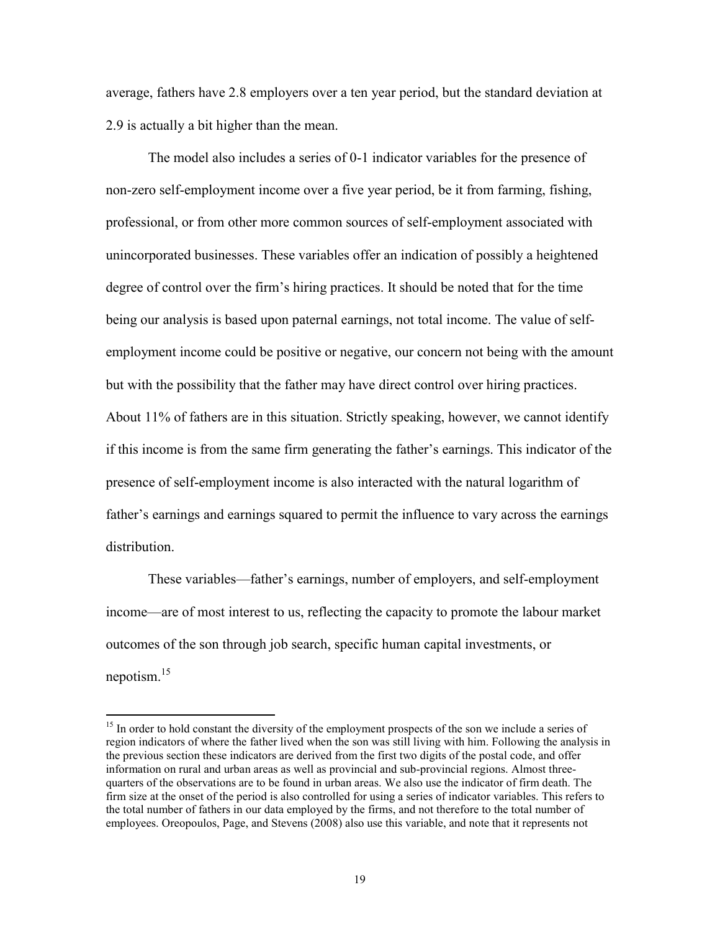average, fathers have 2.8 employers over a ten year period, but the standard deviation at 2.9 is actually a bit higher than the mean.

The model also includes a series of 0-1 indicator variables for the presence of non-zero self-employment income over a five year period, be it from farming, fishing, professional, or from other more common sources of self-employment associated with unincorporated businesses. These variables offer an indication of possibly a heightened degree of control over the firm's hiring practices. It should be noted that for the time being our analysis is based upon paternal earnings, not total income. The value of selfemployment income could be positive or negative, our concern not being with the amount but with the possibility that the father may have direct control over hiring practices. About 11% of fathers are in this situation. Strictly speaking, however, we cannot identify if this income is from the same firm generating the father's earnings. This indicator of the presence of self-employment income is also interacted with the natural logarithm of father's earnings and earnings squared to permit the influence to vary across the earnings distribution.

These variables—father's earnings, number of employers, and self-employment income—are of most interest to us, reflecting the capacity to promote the labour market outcomes of the son through job search, specific human capital investments, or nepotism.<sup>15</sup>

<sup>&</sup>lt;sup>15</sup> In order to hold constant the diversity of the employment prospects of the son we include a series of region indicators of where the father lived when the son was still living with him. Following the analysis in the previous section these indicators are derived from the first two digits of the postal code, and offer information on rural and urban areas as well as provincial and sub-provincial regions. Almost threequarters of the observations are to be found in urban areas. We also use the indicator of firm death. The firm size at the onset of the period is also controlled for using a series of indicator variables. This refers to the total number of fathers in our data employed by the firms, and not therefore to the total number of employees. Oreopoulos, Page, and Stevens (2008) also use this variable, and note that it represents not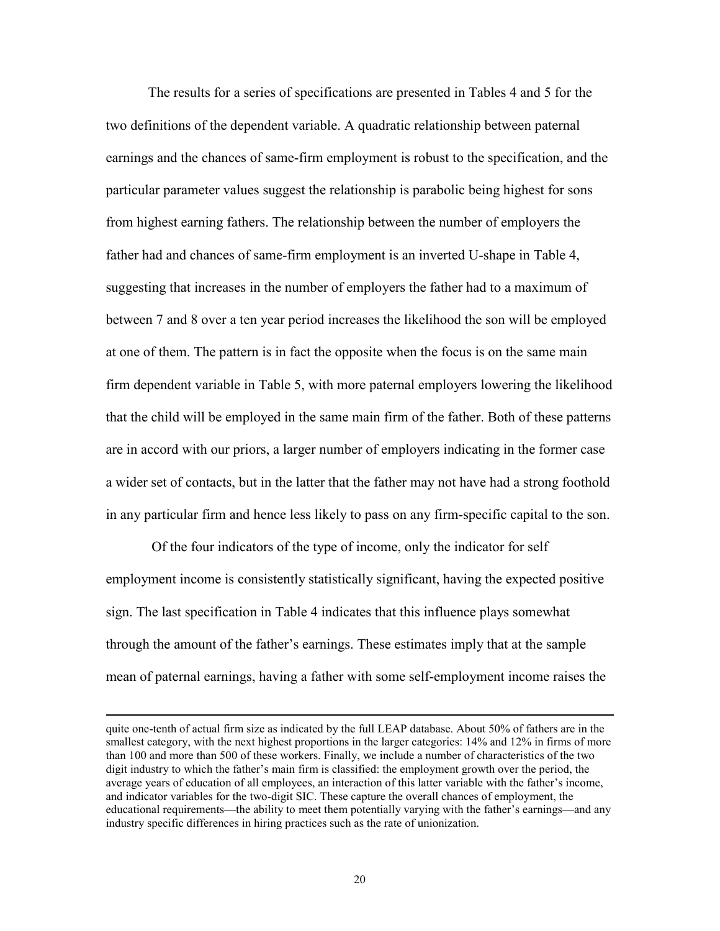The results for a series of specifications are presented in Tables 4 and 5 for the two definitions of the dependent variable. A quadratic relationship between paternal earnings and the chances of same-firm employment is robust to the specification, and the particular parameter values suggest the relationship is parabolic being highest for sons from highest earning fathers. The relationship between the number of employers the father had and chances of same-firm employment is an inverted U-shape in Table 4, suggesting that increases in the number of employers the father had to a maximum of between 7 and 8 over a ten year period increases the likelihood the son will be employed at one of them. The pattern is in fact the opposite when the focus is on the same main firm dependent variable in Table 5, with more paternal employers lowering the likelihood that the child will be employed in the same main firm of the father. Both of these patterns are in accord with our priors, a larger number of employers indicating in the former case a wider set of contacts, but in the latter that the father may not have had a strong foothold in any particular firm and hence less likely to pass on any firm-specific capital to the son.

 Of the four indicators of the type of income, only the indicator for self employment income is consistently statistically significant, having the expected positive sign. The last specification in Table 4 indicates that this influence plays somewhat through the amount of the father's earnings. These estimates imply that at the sample mean of paternal earnings, having a father with some self-employment income raises the

quite one-tenth of actual firm size as indicated by the full LEAP database. About 50% of fathers are in the smallest category, with the next highest proportions in the larger categories: 14% and 12% in firms of more than 100 and more than 500 of these workers. Finally, we include a number of characteristics of the two digit industry to which the father's main firm is classified: the employment growth over the period, the average years of education of all employees, an interaction of this latter variable with the father's income, and indicator variables for the two-digit SIC. These capture the overall chances of employment, the educational requirements—the ability to meet them potentially varying with the father's earnings—and any industry specific differences in hiring practices such as the rate of unionization.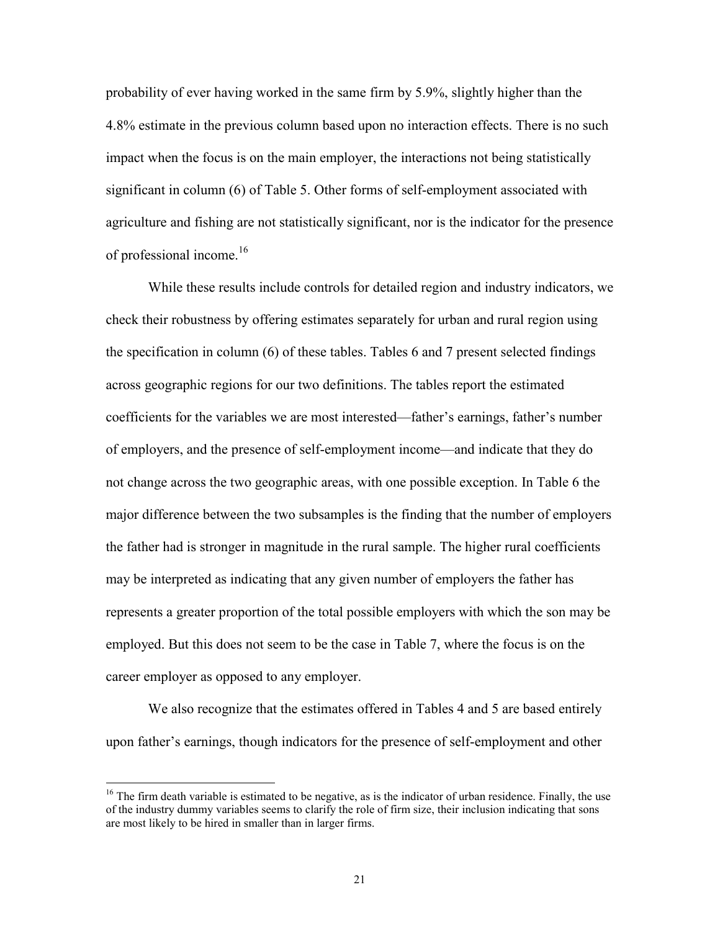probability of ever having worked in the same firm by 5.9%, slightly higher than the 4.8% estimate in the previous column based upon no interaction effects. There is no such impact when the focus is on the main employer, the interactions not being statistically significant in column (6) of Table 5. Other forms of self-employment associated with agriculture and fishing are not statistically significant, nor is the indicator for the presence of professional income.<sup>16</sup>

While these results include controls for detailed region and industry indicators, we check their robustness by offering estimates separately for urban and rural region using the specification in column (6) of these tables. Tables 6 and 7 present selected findings across geographic regions for our two definitions. The tables report the estimated coefficients for the variables we are most interested—father's earnings, father's number of employers, and the presence of self-employment income—and indicate that they do not change across the two geographic areas, with one possible exception. In Table 6 the major difference between the two subsamples is the finding that the number of employers the father had is stronger in magnitude in the rural sample. The higher rural coefficients may be interpreted as indicating that any given number of employers the father has represents a greater proportion of the total possible employers with which the son may be employed. But this does not seem to be the case in Table 7, where the focus is on the career employer as opposed to any employer.

We also recognize that the estimates offered in Tables 4 and 5 are based entirely upon father's earnings, though indicators for the presence of self-employment and other

 $16$  The firm death variable is estimated to be negative, as is the indicator of urban residence. Finally, the use of the industry dummy variables seems to clarify the role of firm size, their inclusion indicating that sons are most likely to be hired in smaller than in larger firms.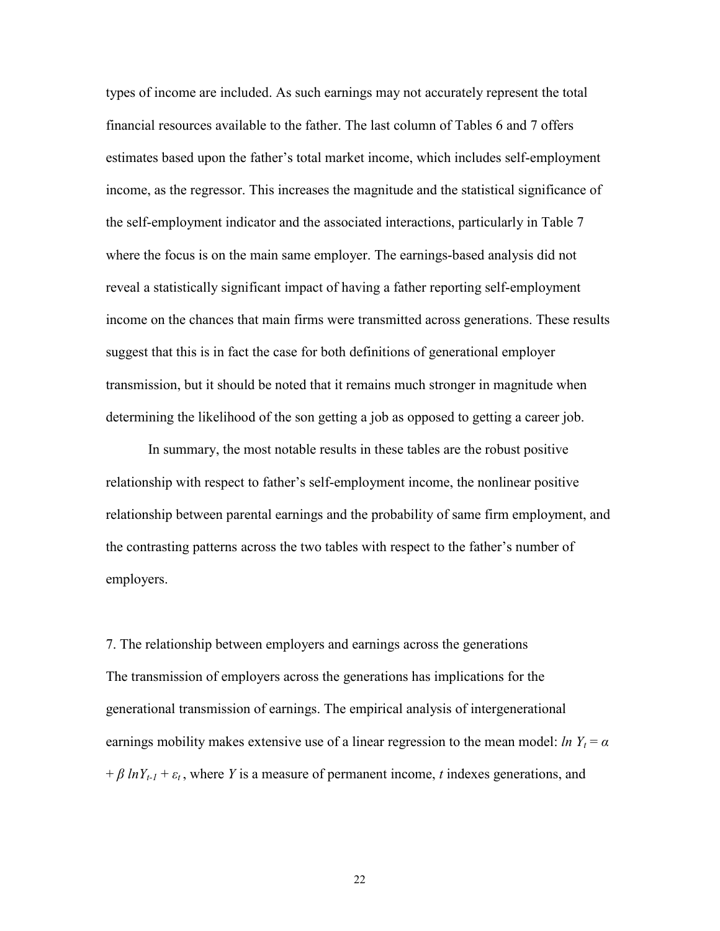types of income are included. As such earnings may not accurately represent the total financial resources available to the father. The last column of Tables 6 and 7 offers estimates based upon the father's total market income, which includes self-employment income, as the regressor. This increases the magnitude and the statistical significance of the self-employment indicator and the associated interactions, particularly in Table 7 where the focus is on the main same employer. The earnings-based analysis did not reveal a statistically significant impact of having a father reporting self-employment income on the chances that main firms were transmitted across generations. These results suggest that this is in fact the case for both definitions of generational employer transmission, but it should be noted that it remains much stronger in magnitude when determining the likelihood of the son getting a job as opposed to getting a career job.

In summary, the most notable results in these tables are the robust positive relationship with respect to father's self-employment income, the nonlinear positive relationship between parental earnings and the probability of same firm employment, and the contrasting patterns across the two tables with respect to the father's number of employers.

7. The relationship between employers and earnings across the generations The transmission of employers across the generations has implications for the generational transmission of earnings. The empirical analysis of intergenerational earnings mobility makes extensive use of a linear regression to the mean model: *ln*  $Y_t = \alpha$  $+\beta \ln Y_{t-1} + \varepsilon_t$ , where *Y* is a measure of permanent income, *t* indexes generations, and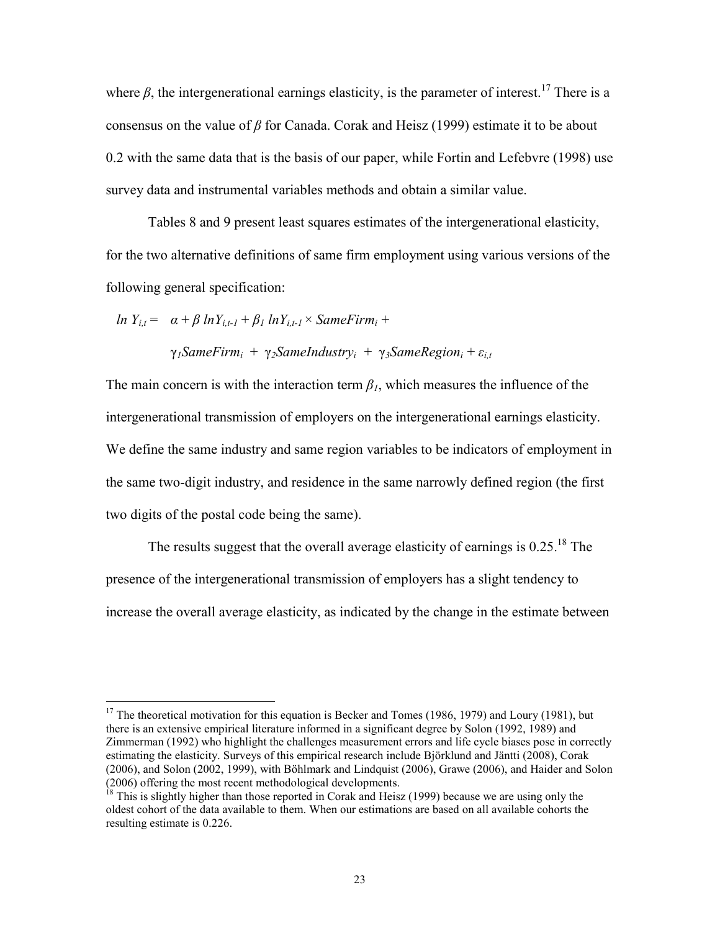where  $\beta$ , the intergenerational earnings elasticity, is the parameter of interest.<sup>17</sup> There is a consensus on the value of *β* for Canada. Corak and Heisz (1999) estimate it to be about 0.2 with the same data that is the basis of our paper, while Fortin and Lefebvre (1998) use survey data and instrumental variables methods and obtain a similar value.

 Tables 8 and 9 present least squares estimates of the intergenerational elasticity, for the two alternative definitions of same firm employment using various versions of the following general specification:

$$
ln Y_{i,t} = \alpha + \beta ln Y_{i,t-1} + \beta_1 ln Y_{i,t-1} \times SameFirm_i +
$$

 $\overline{a}$ 

γ*1SameFirm<sup>i</sup>* + γ*2SameIndustry<sup>i</sup>* + γ*3SameRegion<sup>i</sup>* + *εi,t*

The main concern is with the interaction term  $\beta_l$ , which measures the influence of the intergenerational transmission of employers on the intergenerational earnings elasticity. We define the same industry and same region variables to be indicators of employment in the same two-digit industry, and residence in the same narrowly defined region (the first two digits of the postal code being the same).

The results suggest that the overall average elasticity of earnings is  $0.25$ .<sup>18</sup> The presence of the intergenerational transmission of employers has a slight tendency to increase the overall average elasticity, as indicated by the change in the estimate between

 $17$  The theoretical motivation for this equation is Becker and Tomes (1986, 1979) and Loury (1981), but there is an extensive empirical literature informed in a significant degree by Solon (1992, 1989) and Zimmerman (1992) who highlight the challenges measurement errors and life cycle biases pose in correctly estimating the elasticity. Surveys of this empirical research include Björklund and Jäntti (2008), Corak (2006), and Solon (2002, 1999), with Böhlmark and Lindquist (2006), Grawe (2006), and Haider and Solon (2006) offering the most recent methodological developments.

<sup>&</sup>lt;sup>18</sup> This is slightly higher than those reported in Corak and Heisz (1999) because we are using only the oldest cohort of the data available to them. When our estimations are based on all available cohorts the resulting estimate is 0.226.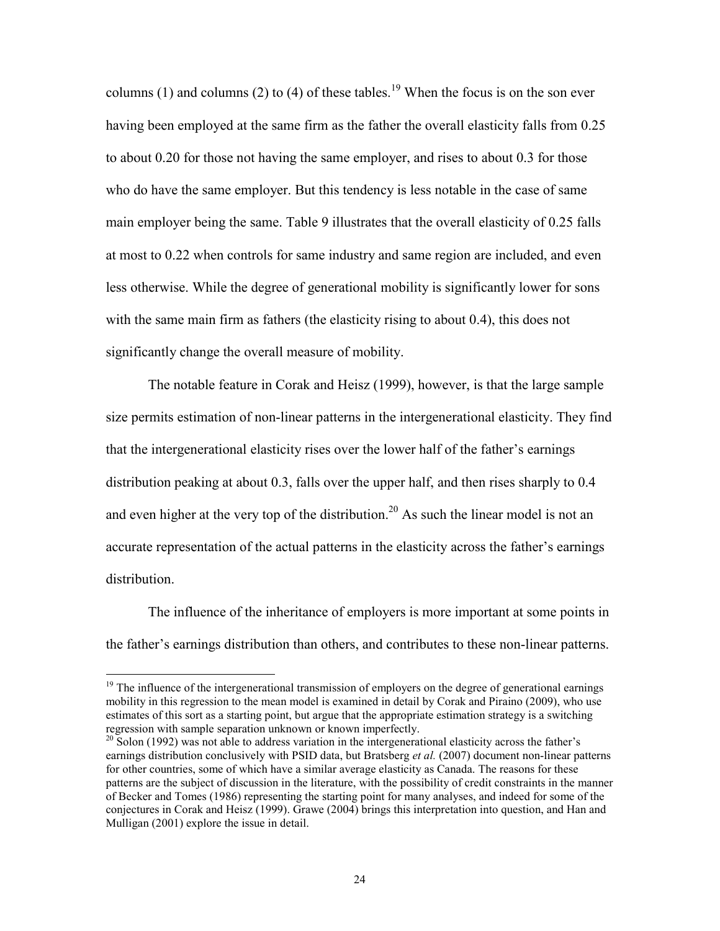columns (1) and columns (2) to (4) of these tables.<sup>19</sup> When the focus is on the son ever having been employed at the same firm as the father the overall elasticity falls from 0.25 to about 0.20 for those not having the same employer, and rises to about 0.3 for those who do have the same employer. But this tendency is less notable in the case of same main employer being the same. Table 9 illustrates that the overall elasticity of 0.25 falls at most to 0.22 when controls for same industry and same region are included, and even less otherwise. While the degree of generational mobility is significantly lower for sons with the same main firm as fathers (the elasticity rising to about 0.4), this does not significantly change the overall measure of mobility.

The notable feature in Corak and Heisz (1999), however, is that the large sample size permits estimation of non-linear patterns in the intergenerational elasticity. They find that the intergenerational elasticity rises over the lower half of the father's earnings distribution peaking at about 0.3, falls over the upper half, and then rises sharply to 0.4 and even higher at the very top of the distribution.<sup>20</sup> As such the linear model is not an accurate representation of the actual patterns in the elasticity across the father's earnings distribution.

The influence of the inheritance of employers is more important at some points in the father's earnings distribution than others, and contributes to these non-linear patterns.

 $19$  The influence of the intergenerational transmission of employers on the degree of generational earnings mobility in this regression to the mean model is examined in detail by Corak and Piraino (2009), who use estimates of this sort as a starting point, but argue that the appropriate estimation strategy is a switching regression with sample separation unknown or known imperfectly.

 $20$  Solon (1992) was not able to address variation in the intergenerational elasticity across the father's earnings distribution conclusively with PSID data, but Bratsberg *et al.* (2007) document non-linear patterns for other countries, some of which have a similar average elasticity as Canada. The reasons for these patterns are the subject of discussion in the literature, with the possibility of credit constraints in the manner of Becker and Tomes (1986) representing the starting point for many analyses, and indeed for some of the conjectures in Corak and Heisz (1999). Grawe (2004) brings this interpretation into question, and Han and Mulligan (2001) explore the issue in detail.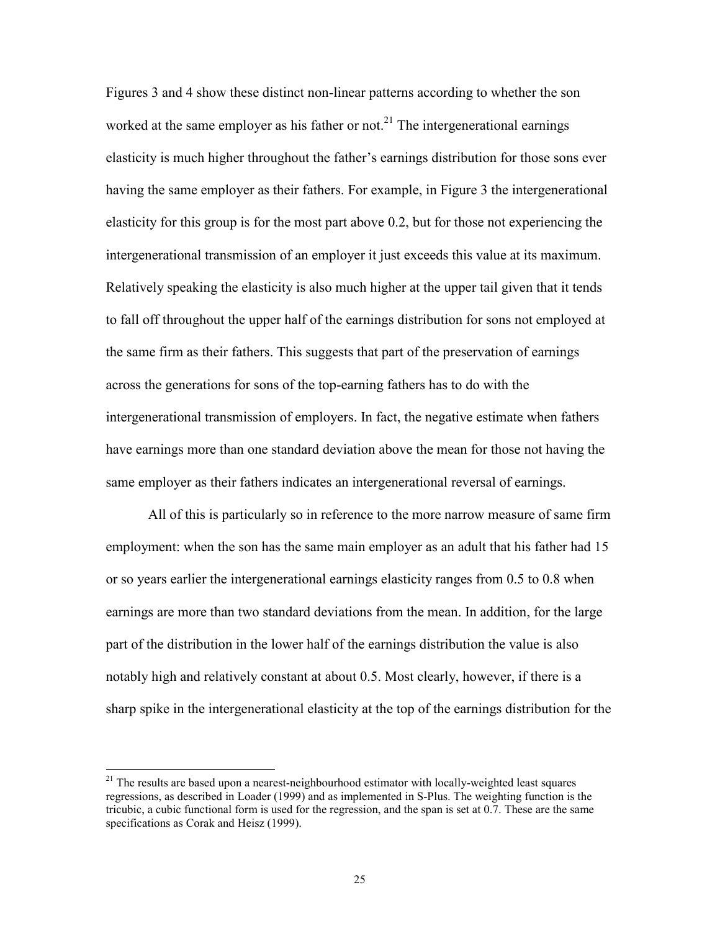Figures 3 and 4 show these distinct non-linear patterns according to whether the son worked at the same employer as his father or not.<sup>21</sup> The intergenerational earnings elasticity is much higher throughout the father's earnings distribution for those sons ever having the same employer as their fathers. For example, in Figure 3 the intergenerational elasticity for this group is for the most part above 0.2, but for those not experiencing the intergenerational transmission of an employer it just exceeds this value at its maximum. Relatively speaking the elasticity is also much higher at the upper tail given that it tends to fall off throughout the upper half of the earnings distribution for sons not employed at the same firm as their fathers. This suggests that part of the preservation of earnings across the generations for sons of the top-earning fathers has to do with the intergenerational transmission of employers. In fact, the negative estimate when fathers have earnings more than one standard deviation above the mean for those not having the same employer as their fathers indicates an intergenerational reversal of earnings.

All of this is particularly so in reference to the more narrow measure of same firm employment: when the son has the same main employer as an adult that his father had 15 or so years earlier the intergenerational earnings elasticity ranges from 0.5 to 0.8 when earnings are more than two standard deviations from the mean. In addition, for the large part of the distribution in the lower half of the earnings distribution the value is also notably high and relatively constant at about 0.5. Most clearly, however, if there is a sharp spike in the intergenerational elasticity at the top of the earnings distribution for the

<sup>&</sup>lt;sup>21</sup> The results are based upon a nearest-neighbourhood estimator with locally-weighted least squares regressions, as described in Loader (1999) and as implemented in S-Plus. The weighting function is the tricubic, a cubic functional form is used for the regression, and the span is set at 0.7. These are the same specifications as Corak and Heisz (1999).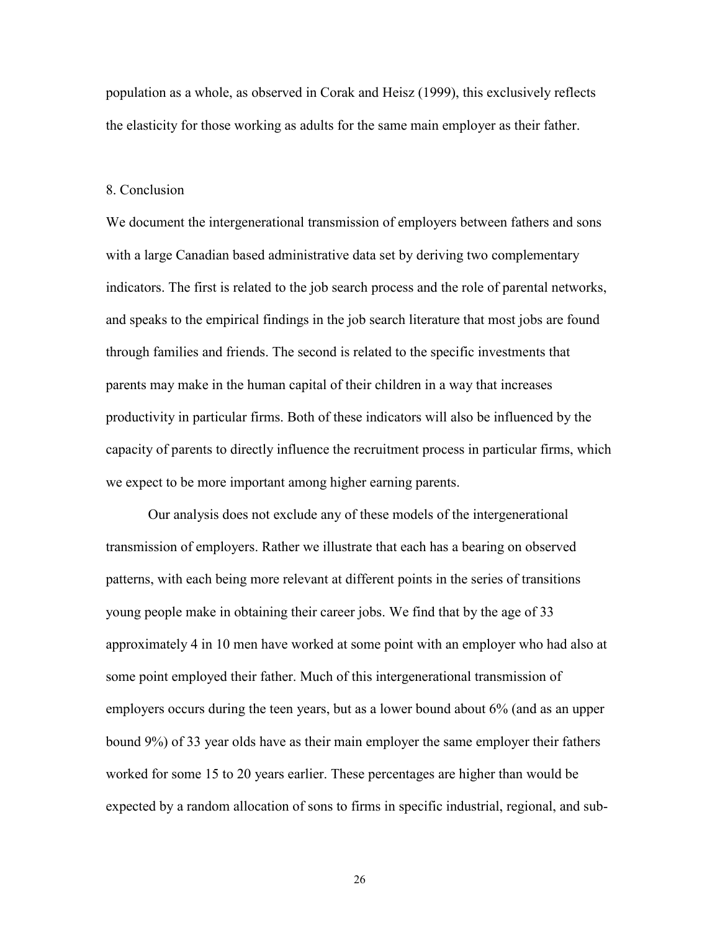population as a whole, as observed in Corak and Heisz (1999), this exclusively reflects the elasticity for those working as adults for the same main employer as their father.

#### 8. Conclusion

We document the intergenerational transmission of employers between fathers and sons with a large Canadian based administrative data set by deriving two complementary indicators. The first is related to the job search process and the role of parental networks, and speaks to the empirical findings in the job search literature that most jobs are found through families and friends. The second is related to the specific investments that parents may make in the human capital of their children in a way that increases productivity in particular firms. Both of these indicators will also be influenced by the capacity of parents to directly influence the recruitment process in particular firms, which we expect to be more important among higher earning parents.

Our analysis does not exclude any of these models of the intergenerational transmission of employers. Rather we illustrate that each has a bearing on observed patterns, with each being more relevant at different points in the series of transitions young people make in obtaining their career jobs. We find that by the age of 33 approximately 4 in 10 men have worked at some point with an employer who had also at some point employed their father. Much of this intergenerational transmission of employers occurs during the teen years, but as a lower bound about 6% (and as an upper bound 9%) of 33 year olds have as their main employer the same employer their fathers worked for some 15 to 20 years earlier. These percentages are higher than would be expected by a random allocation of sons to firms in specific industrial, regional, and sub-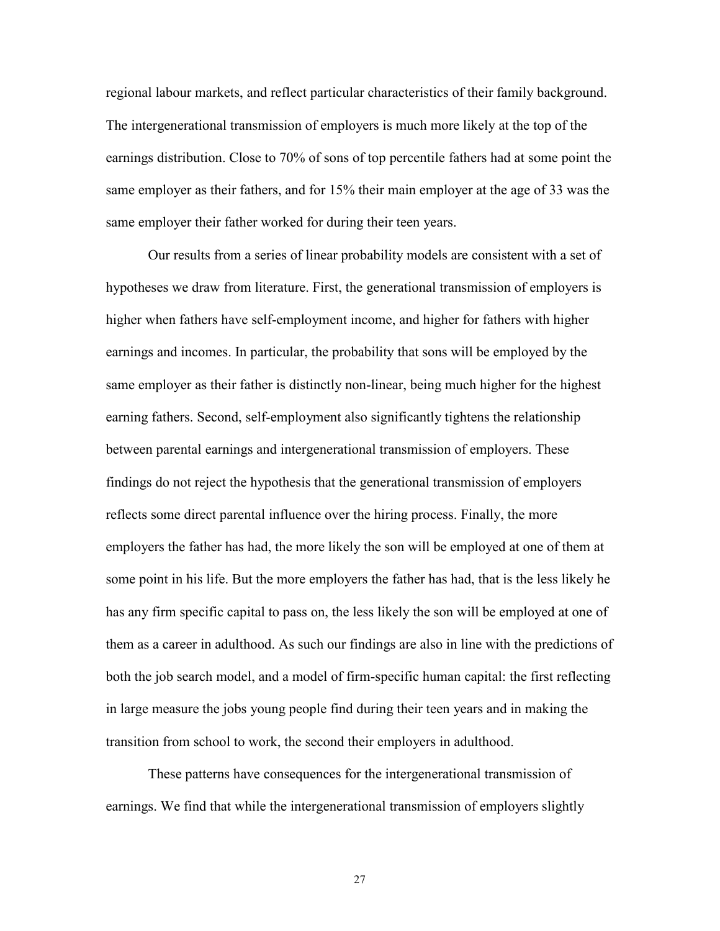regional labour markets, and reflect particular characteristics of their family background. The intergenerational transmission of employers is much more likely at the top of the earnings distribution. Close to 70% of sons of top percentile fathers had at some point the same employer as their fathers, and for 15% their main employer at the age of 33 was the same employer their father worked for during their teen years.

Our results from a series of linear probability models are consistent with a set of hypotheses we draw from literature. First, the generational transmission of employers is higher when fathers have self-employment income, and higher for fathers with higher earnings and incomes. In particular, the probability that sons will be employed by the same employer as their father is distinctly non-linear, being much higher for the highest earning fathers. Second, self-employment also significantly tightens the relationship between parental earnings and intergenerational transmission of employers. These findings do not reject the hypothesis that the generational transmission of employers reflects some direct parental influence over the hiring process. Finally, the more employers the father has had, the more likely the son will be employed at one of them at some point in his life. But the more employers the father has had, that is the less likely he has any firm specific capital to pass on, the less likely the son will be employed at one of them as a career in adulthood. As such our findings are also in line with the predictions of both the job search model, and a model of firm-specific human capital: the first reflecting in large measure the jobs young people find during their teen years and in making the transition from school to work, the second their employers in adulthood.

These patterns have consequences for the intergenerational transmission of earnings. We find that while the intergenerational transmission of employers slightly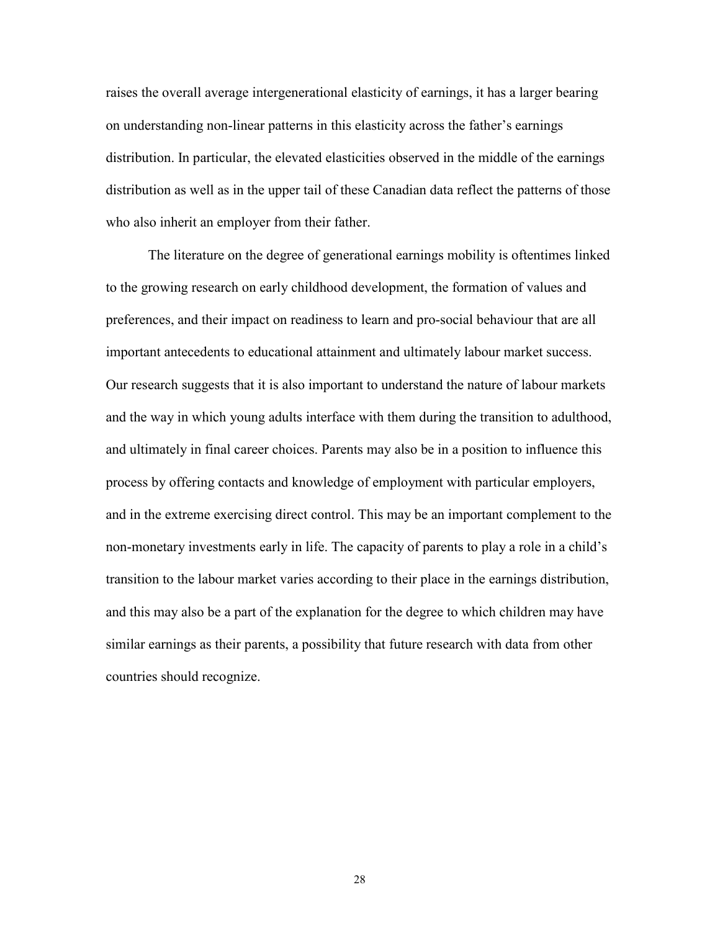raises the overall average intergenerational elasticity of earnings, it has a larger bearing on understanding non-linear patterns in this elasticity across the father's earnings distribution. In particular, the elevated elasticities observed in the middle of the earnings distribution as well as in the upper tail of these Canadian data reflect the patterns of those who also inherit an employer from their father.

The literature on the degree of generational earnings mobility is oftentimes linked to the growing research on early childhood development, the formation of values and preferences, and their impact on readiness to learn and pro-social behaviour that are all important antecedents to educational attainment and ultimately labour market success. Our research suggests that it is also important to understand the nature of labour markets and the way in which young adults interface with them during the transition to adulthood, and ultimately in final career choices. Parents may also be in a position to influence this process by offering contacts and knowledge of employment with particular employers, and in the extreme exercising direct control. This may be an important complement to the non-monetary investments early in life. The capacity of parents to play a role in a child's transition to the labour market varies according to their place in the earnings distribution, and this may also be a part of the explanation for the degree to which children may have similar earnings as their parents, a possibility that future research with data from other countries should recognize.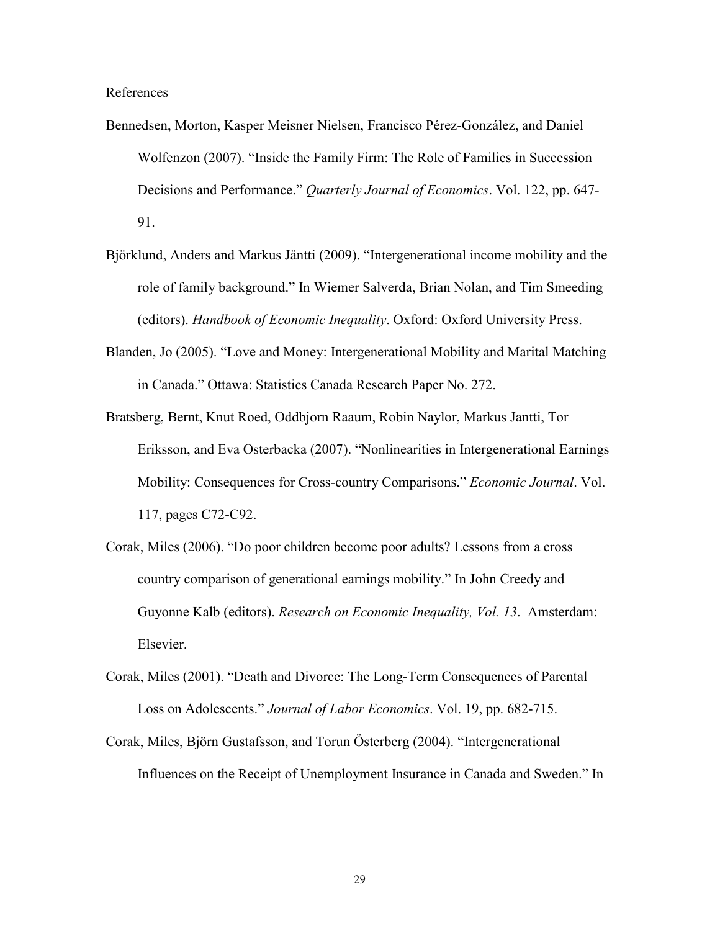References

- Bennedsen, Morton, Kasper Meisner Nielsen, Francisco Pérez-González, and Daniel Wolfenzon (2007). "Inside the Family Firm: The Role of Families in Succession Decisions and Performance." *Quarterly Journal of Economics*. Vol. 122, pp. 647- 91.
- Björklund, Anders and Markus Jäntti (2009). "Intergenerational income mobility and the role of family background." In Wiemer Salverda, Brian Nolan, and Tim Smeeding (editors). *Handbook of Economic Inequality*. Oxford: Oxford University Press.
- Blanden, Jo (2005). "Love and Money: Intergenerational Mobility and Marital Matching in Canada." Ottawa: Statistics Canada Research Paper No. 272.
- Bratsberg, Bernt, Knut Roed, Oddbjorn Raaum, Robin Naylor, Markus Jantti, Tor Eriksson, and Eva Osterbacka (2007). "Nonlinearities in Intergenerational Earnings Mobility: Consequences for Cross-country Comparisons." *Economic Journal*. Vol. 117, pages C72-C92.
- Corak, Miles (2006). "Do poor children become poor adults? Lessons from a cross country comparison of generational earnings mobility." In John Creedy and Guyonne Kalb (editors). *Research on Economic Inequality, Vol. 13*. Amsterdam: Elsevier.
- Corak, Miles (2001). "Death and Divorce: The Long-Term Consequences of Parental Loss on Adolescents." *Journal of Labor Economics*. Vol. 19, pp. 682-715.
- Corak, Miles, Björn Gustafsson, and Torun Österberg (2004). "Intergenerational Influences on the Receipt of Unemployment Insurance in Canada and Sweden." In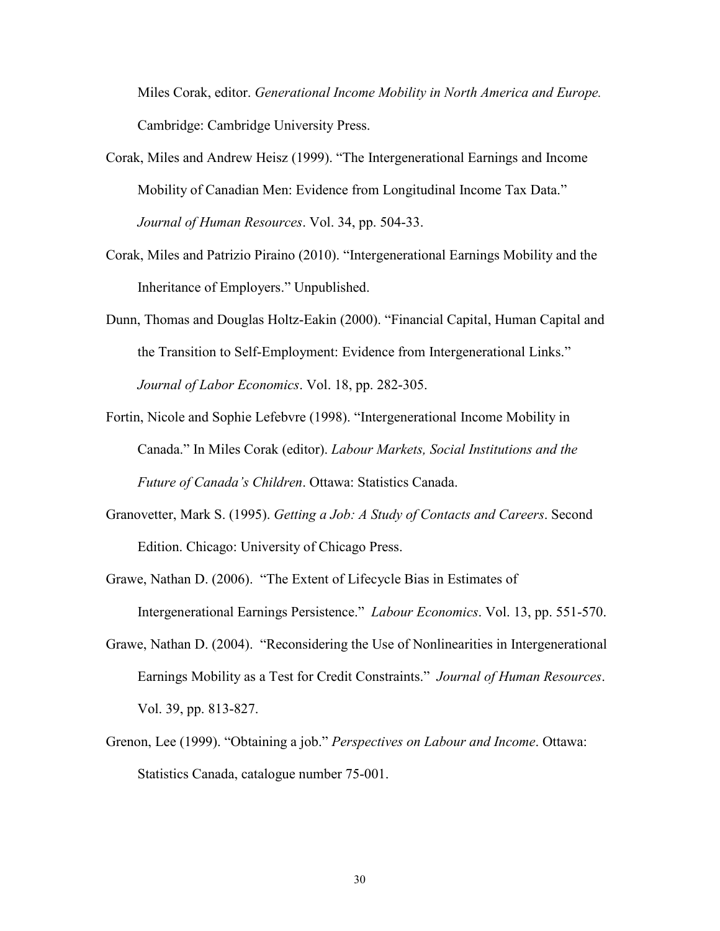Miles Corak, editor. *Generational Income Mobility in North America and Europe.* Cambridge: Cambridge University Press.

- Corak, Miles and Andrew Heisz (1999). "The Intergenerational Earnings and Income Mobility of Canadian Men: Evidence from Longitudinal Income Tax Data." *Journal of Human Resources*. Vol. 34, pp. 504-33.
- Corak, Miles and Patrizio Piraino (2010). "Intergenerational Earnings Mobility and the Inheritance of Employers." Unpublished.
- Dunn, Thomas and Douglas Holtz-Eakin (2000). "Financial Capital, Human Capital and the Transition to Self-Employment: Evidence from Intergenerational Links." *Journal of Labor Economics*. Vol. 18, pp. 282-305.
- Fortin, Nicole and Sophie Lefebvre (1998). "Intergenerational Income Mobility in Canada." In Miles Corak (editor). *Labour Markets, Social Institutions and the Future of Canada's Children*. Ottawa: Statistics Canada.
- Granovetter, Mark S. (1995). *Getting a Job: A Study of Contacts and Careers*. Second Edition. Chicago: University of Chicago Press.
- Grawe, Nathan D. (2006). "The Extent of Lifecycle Bias in Estimates of Intergenerational Earnings Persistence." *Labour Economics*. Vol. 13, pp. 551-570.
- Grawe, Nathan D. (2004). "Reconsidering the Use of Nonlinearities in Intergenerational Earnings Mobility as a Test for Credit Constraints." *Journal of Human Resources*. Vol. 39, pp. 813-827.
- Grenon, Lee (1999). "Obtaining a job." *Perspectives on Labour and Income*. Ottawa: Statistics Canada, catalogue number 75-001.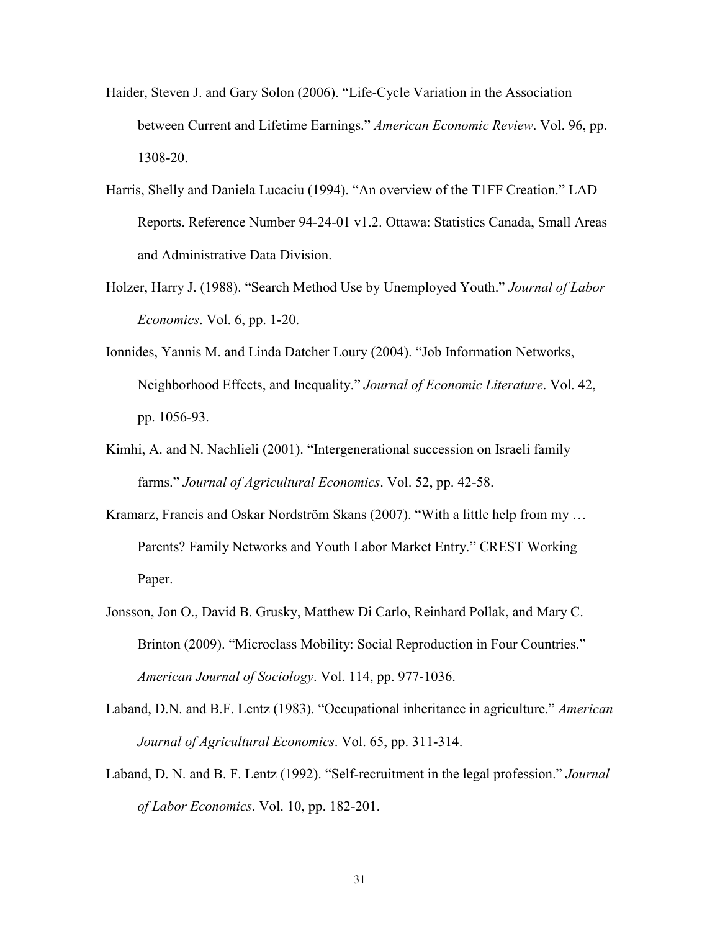- Haider, Steven J. and Gary Solon (2006). "Life-Cycle Variation in the Association between Current and Lifetime Earnings." *American Economic Review*. Vol. 96, pp. 1308-20.
- Harris, Shelly and Daniela Lucaciu (1994). "An overview of the T1FF Creation." LAD Reports. Reference Number 94-24-01 v1.2. Ottawa: Statistics Canada, Small Areas and Administrative Data Division.
- Holzer, Harry J. (1988). "Search Method Use by Unemployed Youth." *Journal of Labor Economics*. Vol. 6, pp. 1-20.
- Ionnides, Yannis M. and Linda Datcher Loury (2004). "Job Information Networks, Neighborhood Effects, and Inequality." *Journal of Economic Literature*. Vol. 42, pp. 1056-93.
- Kimhi, A. and N. Nachlieli (2001). "Intergenerational succession on Israeli family farms." *Journal of Agricultural Economics*. Vol. 52, pp. 42-58.
- Kramarz, Francis and Oskar Nordström Skans (2007). "With a little help from my … Parents? Family Networks and Youth Labor Market Entry." CREST Working Paper.
- Jonsson, Jon O., David B. Grusky, Matthew Di Carlo, Reinhard Pollak, and Mary C. Brinton (2009). "Microclass Mobility: Social Reproduction in Four Countries." *American Journal of Sociology*. Vol. 114, pp. 977-1036.
- Laband, D.N. and B.F. Lentz (1983). "Occupational inheritance in agriculture." *American Journal of Agricultural Economics*. Vol. 65, pp. 311-314.
- Laband, D. N. and B. F. Lentz (1992). "Self-recruitment in the legal profession." *Journal of Labor Economics*. Vol. 10, pp. 182-201.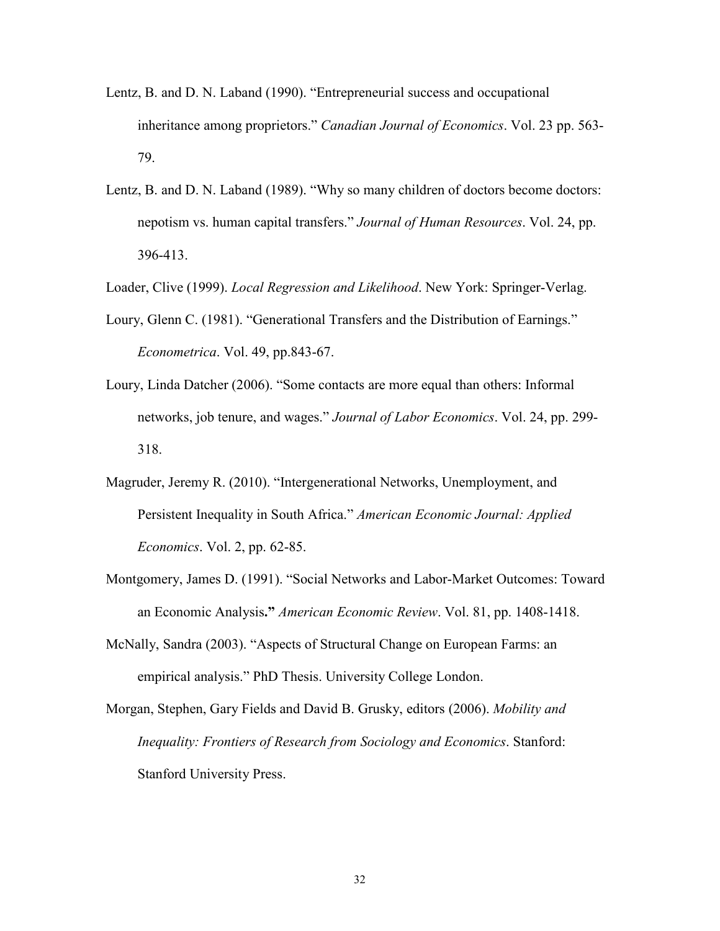- Lentz, B. and D. N. Laband (1990). "Entrepreneurial success and occupational inheritance among proprietors." *Canadian Journal of Economics*. Vol. 23 pp. 563- 79.
- Lentz, B. and D. N. Laband (1989). "Why so many children of doctors become doctors: nepotism vs. human capital transfers." *Journal of Human Resources*. Vol. 24, pp. 396-413.

Loader, Clive (1999). *Local Regression and Likelihood*. New York: Springer-Verlag.

- Loury, Glenn C. (1981). "Generational Transfers and the Distribution of Earnings." *Econometrica*. Vol. 49, pp.843-67.
- Loury, Linda Datcher (2006). "Some contacts are more equal than others: Informal networks, job tenure, and wages." *Journal of Labor Economics*. Vol. 24, pp. 299- 318.
- Magruder, Jeremy R. (2010). "Intergenerational Networks, Unemployment, and Persistent Inequality in South Africa." *American Economic Journal: Applied Economics*. Vol. 2, pp. 62-85.
- Montgomery, James D. (1991). "Social Networks and Labor-Market Outcomes: Toward an Economic Analysis**."** *American Economic Review*. Vol. 81, pp. 1408-1418.
- McNally, Sandra (2003). "Aspects of Structural Change on European Farms: an empirical analysis." PhD Thesis. University College London.
- Morgan, Stephen, Gary Fields and David B. Grusky, editors (2006). *Mobility and Inequality: Frontiers of Research from Sociology and Economics*. Stanford: Stanford University Press.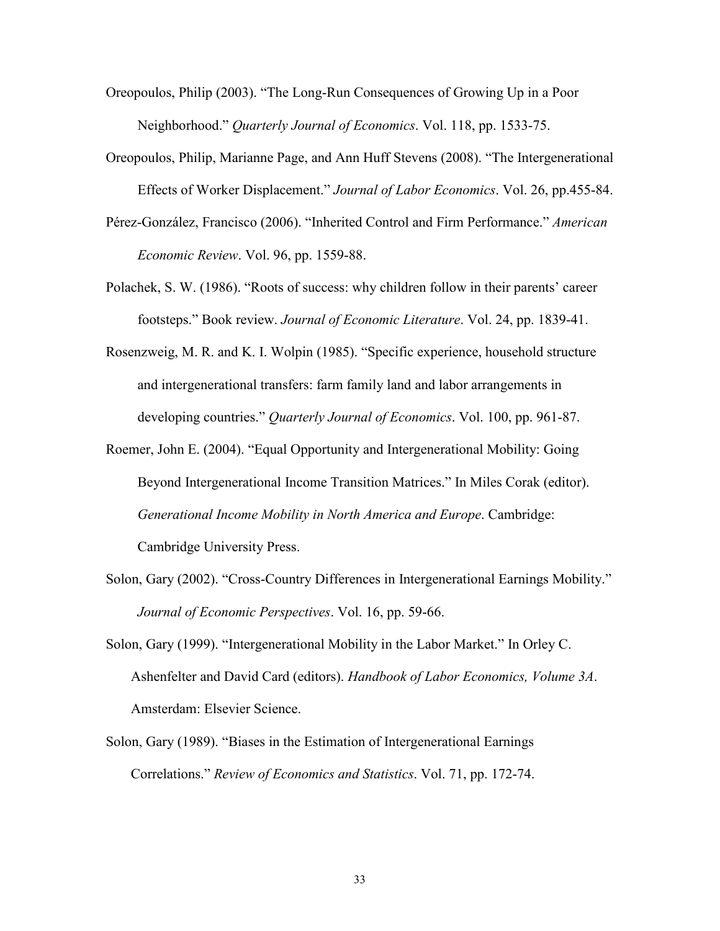- Oreopoulos, Philip (2003). "The Long-Run Consequences of Growing Up in a Poor Neighborhood." *Quarterly Journal of Economics*. Vol. 118, pp. 1533-75.
- Oreopoulos, Philip, Marianne Page, and Ann Huff Stevens (2008). "The Intergenerational Effects of Worker Displacement." *Journal of Labor Economics*. Vol. 26, pp.455-84.
- Pérez-González, Francisco (2006). "Inherited Control and Firm Performance." *American Economic Review*. Vol. 96, pp. 1559-88.
- Polachek, S. W. (1986). "Roots of success: why children follow in their parents' career footsteps." Book review. *Journal of Economic Literature*. Vol. 24, pp. 1839-41.
- Rosenzweig, M. R. and K. I. Wolpin (1985). "Specific experience, household structure and intergenerational transfers: farm family land and labor arrangements in developing countries." *Quarterly Journal of Economics*. Vol. 100, pp. 961-87.
- Roemer, John E. (2004). "Equal Opportunity and Intergenerational Mobility: Going Beyond Intergenerational Income Transition Matrices." In Miles Corak (editor). *Generational Income Mobility in North America and Europe*. Cambridge: Cambridge University Press.
- Solon, Gary (2002). "Cross-Country Differences in Intergenerational Earnings Mobility." *Journal of Economic Perspectives*. Vol. 16, pp. 59-66.
- Solon, Gary (1999). "Intergenerational Mobility in the Labor Market." In Orley C. Ashenfelter and David Card (editors). *Handbook of Labor Economics, Volume 3A*. Amsterdam: Elsevier Science.
- Solon, Gary (1989). "Biases in the Estimation of Intergenerational Earnings Correlations." *Review of Economics and Statistics*. Vol. 71, pp. 172-74.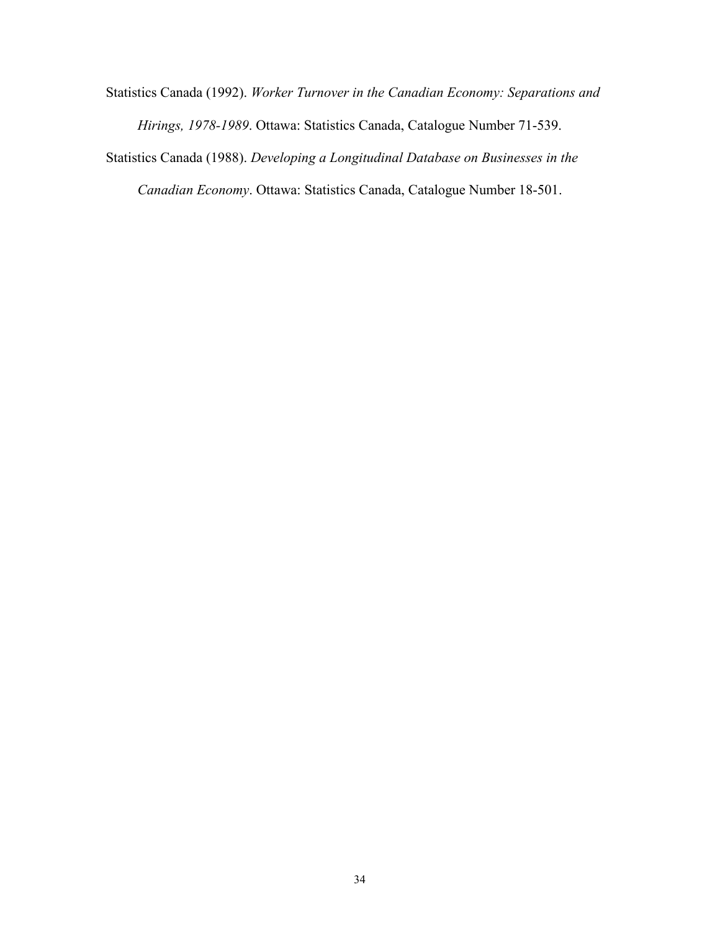Statistics Canada (1992). *Worker Turnover in the Canadian Economy: Separations and Hirings, 1978-1989*. Ottawa: Statistics Canada, Catalogue Number 71-539. Statistics Canada (1988). *Developing a Longitudinal Database on Businesses in the* 

*Canadian Economy*. Ottawa: Statistics Canada, Catalogue Number 18-501.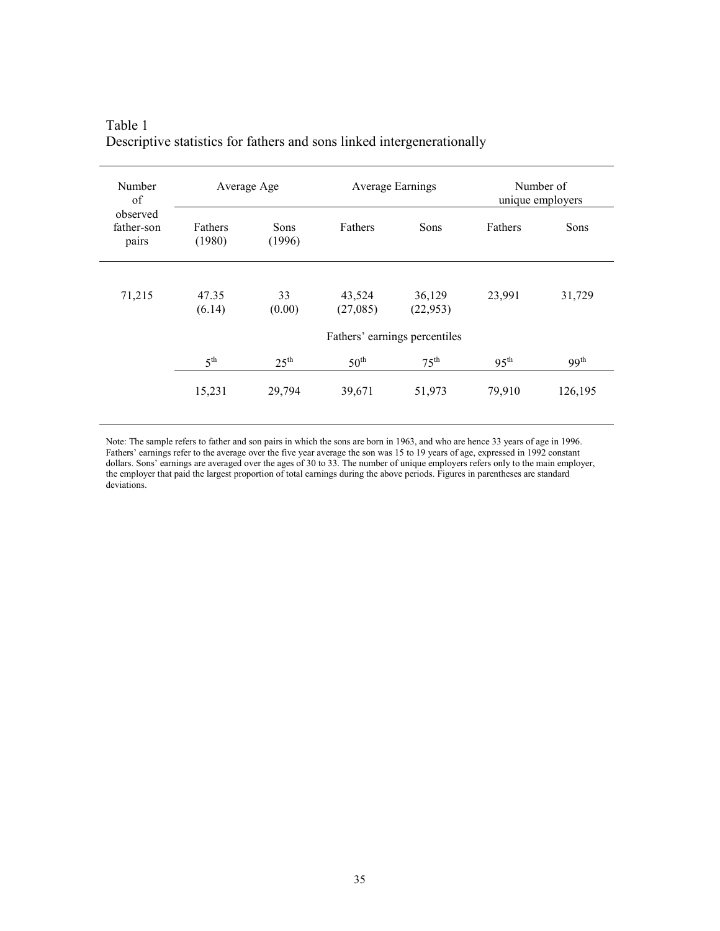| Number<br>of                    |                   | Average Age                   |                    | Average Earnings    |                  | Number of<br>unique employers |  |
|---------------------------------|-------------------|-------------------------------|--------------------|---------------------|------------------|-------------------------------|--|
| observed<br>father-son<br>pairs | Fathers<br>(1980) | Sons<br>(1996)                | Fathers            | Sons                | Fathers          | Sons                          |  |
| 71,215                          | 47.35<br>(6.14)   | 33<br>(0.00)                  | 43,524<br>(27,085) | 36,129<br>(22, 953) | 23,991           | 31,729                        |  |
|                                 |                   | Fathers' earnings percentiles |                    |                     |                  |                               |  |
|                                 | 5 <sup>th</sup>   | $25^{\text{th}}$              | $50^{\text{th}}$   | $75^{\text{th}}$    | 95 <sup>th</sup> | 99 <sup>th</sup>              |  |
|                                 | 15,231            | 29,794                        | 39,671             | 51,973              | 79,910           | 126,195                       |  |

## Table 1 Descriptive statistics for fathers and sons linked intergenerationally

Note: The sample refers to father and son pairs in which the sons are born in 1963, and who are hence 33 years of age in 1996. Fathers' earnings refer to the average over the five year average the son was 15 to 19 years of age, expressed in 1992 constant dollars. Sons' earnings are averaged over the ages of 30 to 33. The number of unique employers refers only to the main employer, the employer that paid the largest proportion of total earnings during the above periods. Figures in parentheses are standard deviations.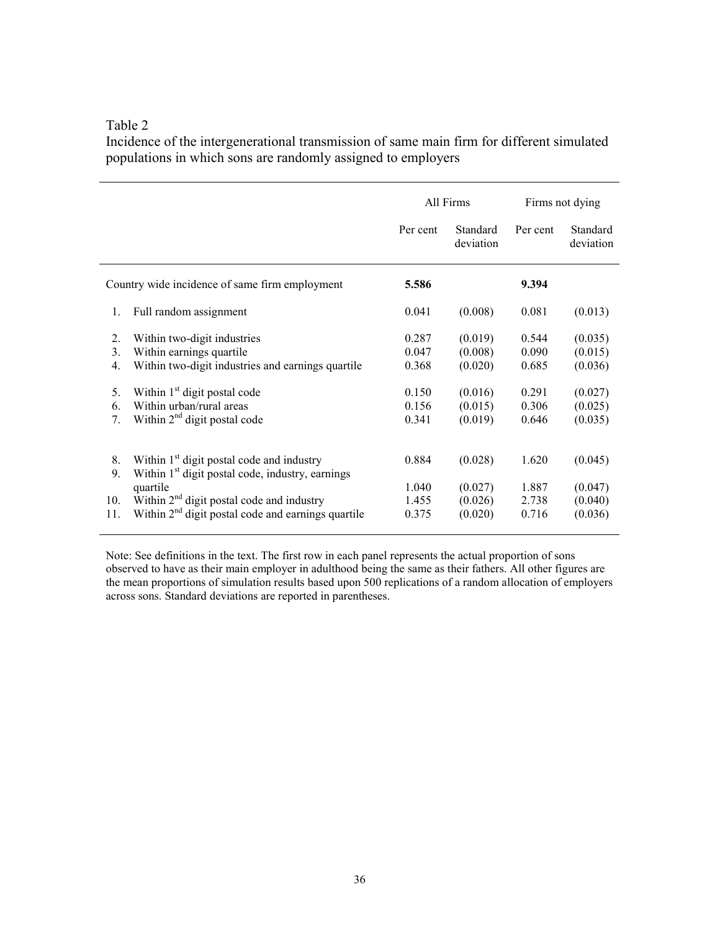Incidence of the intergenerational transmission of same main firm for different simulated populations in which sons are randomly assigned to employers

|                                                                        |                                                                                                                                                                                                                                                    | All Firms                                          |                                                                |                                                    | Firms not dying                                                |
|------------------------------------------------------------------------|----------------------------------------------------------------------------------------------------------------------------------------------------------------------------------------------------------------------------------------------------|----------------------------------------------------|----------------------------------------------------------------|----------------------------------------------------|----------------------------------------------------------------|
|                                                                        |                                                                                                                                                                                                                                                    | Per cent                                           | Standard<br>deviation                                          | Per cent                                           | Standard<br>deviation                                          |
|                                                                        | Country wide incidence of same firm employment                                                                                                                                                                                                     | 5.586                                              |                                                                | 9.394                                              |                                                                |
| $\mathbf{1}$ .                                                         | Full random assignment                                                                                                                                                                                                                             | 0.041                                              | (0.008)                                                        | 0.081                                              | (0.013)                                                        |
| 2.<br>3.<br>$\overline{4}$ .<br>5 <sub>1</sub><br>6.<br>7 <sub>1</sub> | Within two-digit industries<br>Within earnings quartile<br>Within two-digit industries and earnings quartile<br>Within 1 <sup>st</sup> digit postal code<br>Within urban/rural areas<br>Within 2 <sup>nd</sup> digit postal code                   | 0.287<br>0.047<br>0.368<br>0.150<br>0.156<br>0.341 | (0.019)<br>(0.008)<br>(0.020)<br>(0.016)<br>(0.015)<br>(0.019) | 0.544<br>0.090<br>0.685<br>0.291<br>0.306<br>0.646 | (0.035)<br>(0.015)<br>(0.036)<br>(0.027)<br>(0.025)<br>(0.035) |
| 8.<br>9.<br>10.<br>11.                                                 | Within 1 <sup>st</sup> digit postal code and industry<br>Within 1 <sup>st</sup> digit postal code, industry, earnings<br>quartile<br>Within 2 <sup>nd</sup> digit postal code and industry<br>Within $2nd$ digit postal code and earnings quartile | 0.884<br>1.040<br>1.455<br>0.375                   | (0.028)<br>(0.027)<br>(0.026)<br>(0.020)                       | 1.620<br>1.887<br>2.738<br>0.716                   | (0.045)<br>(0.047)<br>(0.040)<br>(0.036)                       |

Note: See definitions in the text. The first row in each panel represents the actual proportion of sons observed to have as their main employer in adulthood being the same as their fathers. All other figures are the mean proportions of simulation results based upon 500 replications of a random allocation of employers across sons. Standard deviations are reported in parentheses.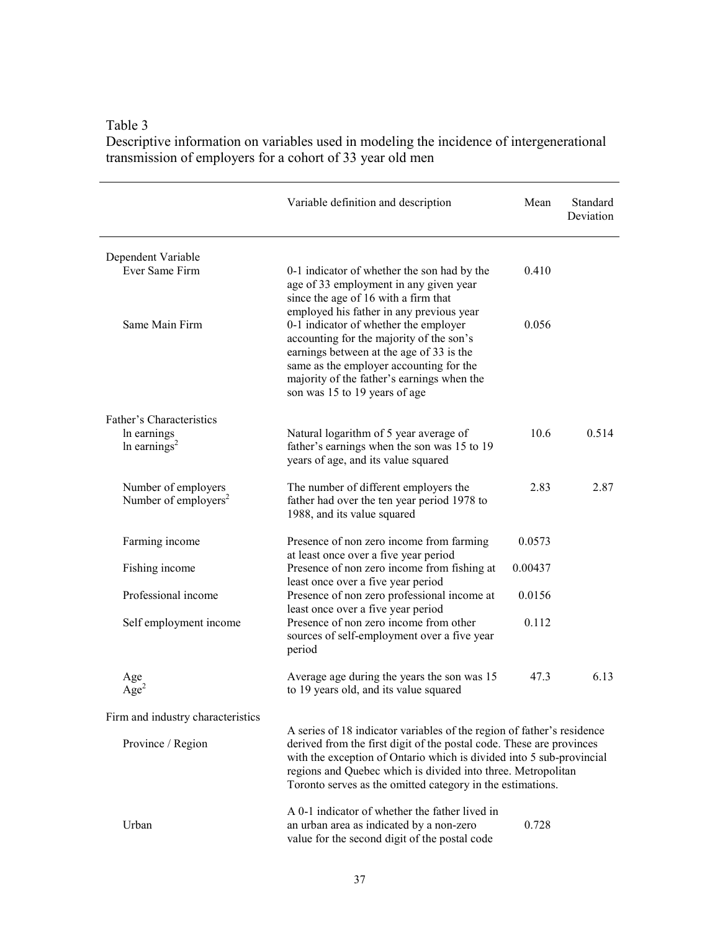Table 3 Descriptive information on variables used in modeling the incidence of intergenerational transmission of employers for a cohort of 33 year old men

|                                                         | Variable definition and description                                                                                                                                                                                                                                                                                                                  | Mean    | Standard<br>Deviation |
|---------------------------------------------------------|------------------------------------------------------------------------------------------------------------------------------------------------------------------------------------------------------------------------------------------------------------------------------------------------------------------------------------------------------|---------|-----------------------|
| Dependent Variable                                      |                                                                                                                                                                                                                                                                                                                                                      |         |                       |
| Ever Same Firm                                          | 0-1 indicator of whether the son had by the<br>age of 33 employment in any given year<br>since the age of 16 with a firm that                                                                                                                                                                                                                        | 0.410   |                       |
| Same Main Firm                                          | employed his father in any previous year<br>0-1 indicator of whether the employer<br>accounting for the majority of the son's<br>earnings between at the age of 33 is the<br>same as the employer accounting for the<br>majority of the father's earnings when the<br>son was 15 to 19 years of age                                                  | 0.056   |                       |
| Father's Characteristics                                |                                                                                                                                                                                                                                                                                                                                                      |         |                       |
| In earnings<br>In earnings <sup>2</sup>                 | Natural logarithm of 5 year average of<br>father's earnings when the son was 15 to 19<br>years of age, and its value squared                                                                                                                                                                                                                         | 10.6    | 0.514                 |
| Number of employers<br>Number of employers <sup>2</sup> | The number of different employers the<br>father had over the ten year period 1978 to<br>1988, and its value squared                                                                                                                                                                                                                                  | 2.83    | 2.87                  |
| Farming income                                          | Presence of non zero income from farming<br>at least once over a five year period                                                                                                                                                                                                                                                                    | 0.0573  |                       |
| Fishing income                                          | Presence of non zero income from fishing at<br>least once over a five year period                                                                                                                                                                                                                                                                    | 0.00437 |                       |
| Professional income                                     | Presence of non zero professional income at<br>least once over a five year period                                                                                                                                                                                                                                                                    | 0.0156  |                       |
| Self employment income                                  | Presence of non zero income from other<br>sources of self-employment over a five year<br>period                                                                                                                                                                                                                                                      | 0.112   |                       |
| Age<br>$Age^2$                                          | Average age during the years the son was 15<br>to 19 years old, and its value squared                                                                                                                                                                                                                                                                | 47.3    | 6.13                  |
| Firm and industry characteristics                       |                                                                                                                                                                                                                                                                                                                                                      |         |                       |
| Province / Region                                       | A series of 18 indicator variables of the region of father's residence<br>derived from the first digit of the postal code. These are provinces<br>with the exception of Ontario which is divided into 5 sub-provincial<br>regions and Quebec which is divided into three. Metropolitan<br>Toronto serves as the omitted category in the estimations. |         |                       |
| Urban                                                   | A 0-1 indicator of whether the father lived in<br>an urban area as indicated by a non-zero<br>value for the second digit of the postal code                                                                                                                                                                                                          | 0.728   |                       |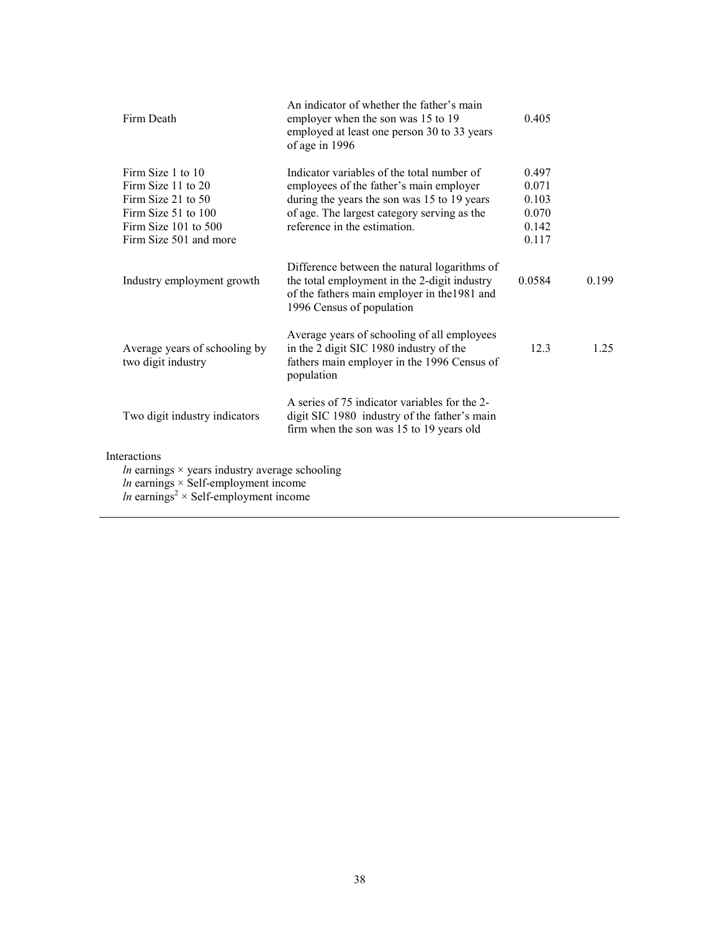| Firm Death                                                                                                                                                                                            | An indicator of whether the father's main<br>employer when the son was 15 to 19<br>employed at least one person 30 to 33 years<br>of age in 1996                                                                    | 0.405                                              |       |
|-------------------------------------------------------------------------------------------------------------------------------------------------------------------------------------------------------|---------------------------------------------------------------------------------------------------------------------------------------------------------------------------------------------------------------------|----------------------------------------------------|-------|
| Firm Size 1 to 10<br>Firm Size 11 to 20<br>Firm Size 21 to 50<br>Firm Size 51 to 100<br>Firm Size $101$ to $500$<br>Firm Size 501 and more                                                            | Indicator variables of the total number of<br>employees of the father's main employer<br>during the years the son was 15 to 19 years<br>of age. The largest category serving as the<br>reference in the estimation. | 0.497<br>0.071<br>0.103<br>0.070<br>0.142<br>0.117 |       |
| Industry employment growth                                                                                                                                                                            | Difference between the natural logarithms of<br>the total employment in the 2-digit industry<br>of the fathers main employer in the 1981 and<br>1996 Census of population                                           | 0.0584                                             | 0.199 |
| Average years of schooling by<br>two digit industry                                                                                                                                                   | Average years of schooling of all employees<br>in the 2 digit SIC 1980 industry of the<br>fathers main employer in the 1996 Census of<br>population                                                                 | 12.3                                               | 1.25  |
| Two digit industry indicators                                                                                                                                                                         | A series of 75 indicator variables for the 2-<br>digit SIC 1980 industry of the father's main<br>firm when the son was 15 to 19 years old                                                                           |                                                    |       |
| <b>Interactions</b><br><i>ln</i> earnings $\times$ years industry average schooling<br><i>ln</i> earnings $\times$ Self-employment income<br><i>ln</i> earnings <sup>2</sup> × Self-employment income |                                                                                                                                                                                                                     |                                                    |       |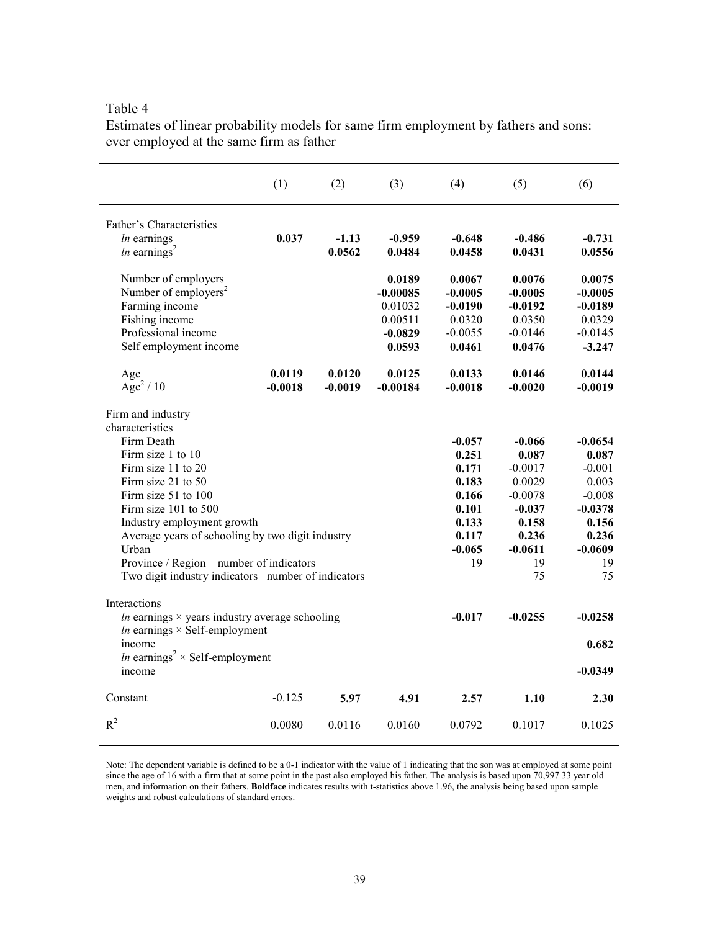|                                                                                                                                                                                                                                                                                                                                                                    | (1)                 | (2)                 | (3)                                                               | (4)                                                                                       | (5)                                                                                                          | (6)                                                                                                         |
|--------------------------------------------------------------------------------------------------------------------------------------------------------------------------------------------------------------------------------------------------------------------------------------------------------------------------------------------------------------------|---------------------|---------------------|-------------------------------------------------------------------|-------------------------------------------------------------------------------------------|--------------------------------------------------------------------------------------------------------------|-------------------------------------------------------------------------------------------------------------|
| Father's Characteristics<br>$ln$ earnings<br><i>ln</i> earnings <sup>2</sup>                                                                                                                                                                                                                                                                                       | 0.037               | $-1.13$<br>0.0562   | $-0.959$<br>0.0484                                                | $-0.648$<br>0.0458                                                                        | $-0.486$<br>0.0431                                                                                           | $-0.731$<br>0.0556                                                                                          |
| Number of employers<br>Number of employers <sup>2</sup><br>Farming income<br>Fishing income<br>Professional income<br>Self employment income                                                                                                                                                                                                                       |                     |                     | 0.0189<br>$-0.00085$<br>0.01032<br>0.00511<br>$-0.0829$<br>0.0593 | 0.0067<br>$-0.0005$<br>$-0.0190$<br>0.0320<br>$-0.0055$<br>0.0461                         | 0.0076<br>$-0.0005$<br>$-0.0192$<br>0.0350<br>$-0.0146$<br>0.0476                                            | 0.0075<br>$-0.0005$<br>$-0.0189$<br>0.0329<br>$-0.0145$<br>$-3.247$                                         |
| Age<br>Age <sup>2</sup> / 10                                                                                                                                                                                                                                                                                                                                       | 0.0119<br>$-0.0018$ | 0.0120<br>$-0.0019$ | 0.0125<br>$-0.00184$                                              | 0.0133<br>$-0.0018$                                                                       | 0.0146<br>$-0.0020$                                                                                          | 0.0144<br>$-0.0019$                                                                                         |
| Firm and industry<br>characteristics<br>Firm Death<br>Firm size 1 to 10<br>Firm size 11 to 20<br>Firm size 21 to $50$<br>Firm size 51 to 100<br>Firm size 101 to 500<br>Industry employment growth<br>Average years of schooling by two digit industry<br>Urban<br>Province / Region – number of indicators<br>Two digit industry indicators- number of indicators |                     |                     |                                                                   | $-0.057$<br>0.251<br>0.171<br>0.183<br>0.166<br>0.101<br>0.133<br>0.117<br>$-0.065$<br>19 | $-0.066$<br>0.087<br>$-0.0017$<br>0.0029<br>$-0.0078$<br>$-0.037$<br>0.158<br>0.236<br>$-0.0611$<br>19<br>75 | $-0.0654$<br>0.087<br>$-0.001$<br>0.003<br>$-0.008$<br>$-0.0378$<br>0.156<br>0.236<br>$-0.0609$<br>19<br>75 |
| Interactions<br><i>ln</i> earnings $\times$ years industry average schooling<br><i>ln</i> earnings $\times$ Self-employment<br>income<br><i>ln</i> earnings <sup>2</sup> × Self-employment<br>income                                                                                                                                                               |                     |                     |                                                                   | $-0.017$                                                                                  | $-0.0255$                                                                                                    | -0.0258<br>0.682<br>$-0.0349$                                                                               |
| Constant                                                                                                                                                                                                                                                                                                                                                           | $-0.125$            | 5.97                | 4.91                                                              | 2.57                                                                                      | 1.10                                                                                                         | 2.30                                                                                                        |
| $R^2$                                                                                                                                                                                                                                                                                                                                                              | 0.0080              | 0.0116              | 0.0160                                                            | 0.0792                                                                                    | 0.1017                                                                                                       | 0.1025                                                                                                      |

Estimates of linear probability models for same firm employment by fathers and sons: ever employed at the same firm as father

Note: The dependent variable is defined to be a 0-1 indicator with the value of 1 indicating that the son was at employed at some point since the age of 16 with a firm that at some point in the past also employed his father. The analysis is based upon 70,997 33 year old men, and information on their fathers. **Boldface** indicates results with t-statistics above 1.96, the analysis being based upon sample weights and robust calculations of standard errors.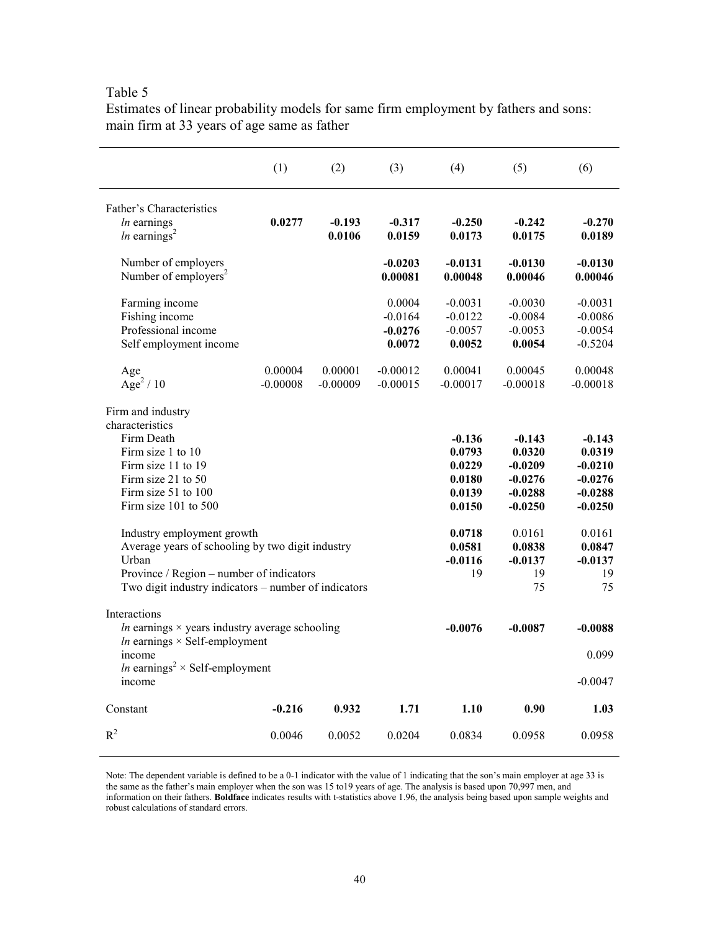|                                                                                                                                                                                                                                                                                                                                                                         | (1)                   | (2)                   | (3)                                        | (4)                                                                                               | (5)                                                                                                                 | (6)                                                                                                                 |
|-------------------------------------------------------------------------------------------------------------------------------------------------------------------------------------------------------------------------------------------------------------------------------------------------------------------------------------------------------------------------|-----------------------|-----------------------|--------------------------------------------|---------------------------------------------------------------------------------------------------|---------------------------------------------------------------------------------------------------------------------|---------------------------------------------------------------------------------------------------------------------|
| Father's Characteristics<br>$ln$ earnings<br><i>ln</i> earnings <sup>2</sup>                                                                                                                                                                                                                                                                                            | 0.0277                | $-0.193$<br>0.0106    | $-0.317$<br>0.0159                         | $-0.250$<br>0.0173                                                                                | $-0.242$<br>0.0175                                                                                                  | $-0.270$<br>0.0189                                                                                                  |
| Number of employers<br>Number of employers <sup>2</sup>                                                                                                                                                                                                                                                                                                                 |                       |                       | $-0.0203$<br>0.00081                       | $-0.0131$<br>0.00048                                                                              | $-0.0130$<br>0.00046                                                                                                | $-0.0130$<br>0.00046                                                                                                |
| Farming income<br>Fishing income<br>Professional income<br>Self employment income                                                                                                                                                                                                                                                                                       |                       |                       | 0.0004<br>$-0.0164$<br>$-0.0276$<br>0.0072 | $-0.0031$<br>$-0.0122$<br>$-0.0057$<br>0.0052                                                     | $-0.0030$<br>$-0.0084$<br>$-0.0053$<br>0.0054                                                                       | $-0.0031$<br>$-0.0086$<br>$-0.0054$<br>$-0.5204$                                                                    |
| Age<br>Age <sup>2</sup> / 10                                                                                                                                                                                                                                                                                                                                            | 0.00004<br>$-0.00008$ | 0.00001<br>$-0.00009$ | $-0.00012$<br>$-0.00015$                   | 0.00041<br>$-0.00017$                                                                             | 0.00045<br>$-0.00018$                                                                                               | 0.00048<br>$-0.00018$                                                                                               |
| Firm and industry<br>characteristics<br>Firm Death<br>Firm size 1 to 10<br>Firm size 11 to 19<br>Firm size 21 to $50$<br>Firm size 51 to 100<br>Firm size $101$ to $500$<br>Industry employment growth<br>Average years of schooling by two digit industry<br>Urban<br>Province / Region - number of indicators<br>Two digit industry indicators – number of indicators |                       |                       |                                            | $-0.136$<br>0.0793<br>0.0229<br>0.0180<br>0.0139<br>0.0150<br>0.0718<br>0.0581<br>$-0.0116$<br>19 | $-0.143$<br>0.0320<br>$-0.0209$<br>$-0.0276$<br>$-0.0288$<br>$-0.0250$<br>0.0161<br>0.0838<br>$-0.0137$<br>19<br>75 | $-0.143$<br>0.0319<br>$-0.0210$<br>$-0.0276$<br>$-0.0288$<br>$-0.0250$<br>0.0161<br>0.0847<br>$-0.0137$<br>19<br>75 |
| Interactions<br><i>ln</i> earnings $\times$ years industry average schooling<br>$ln$ earnings $\times$ Self-employment<br>income<br><i>ln</i> earnings <sup>2</sup> × Self-employment<br>income                                                                                                                                                                         |                       |                       |                                            | $-0.0076$                                                                                         | $-0.0087$                                                                                                           | $-0.0088$<br>0.099<br>$-0.0047$                                                                                     |
| Constant                                                                                                                                                                                                                                                                                                                                                                | $-0.216$              | 0.932                 | 1.71                                       | 1.10                                                                                              | 0.90                                                                                                                | 1.03                                                                                                                |
| $R^2$                                                                                                                                                                                                                                                                                                                                                                   | 0.0046                | 0.0052                | 0.0204                                     | 0.0834                                                                                            | 0.0958                                                                                                              | 0.0958                                                                                                              |

Estimates of linear probability models for same firm employment by fathers and sons: main firm at 33 years of age same as father

Note: The dependent variable is defined to be a 0-1 indicator with the value of 1 indicating that the son's main employer at age 33 is the same as the father's main employer when the son was 15 to19 years of age. The analysis is based upon 70,997 men, and information on their fathers. **Boldface** indicates results with t-statistics above 1.96, the analysis being based upon sample weights and robust calculations of standard errors.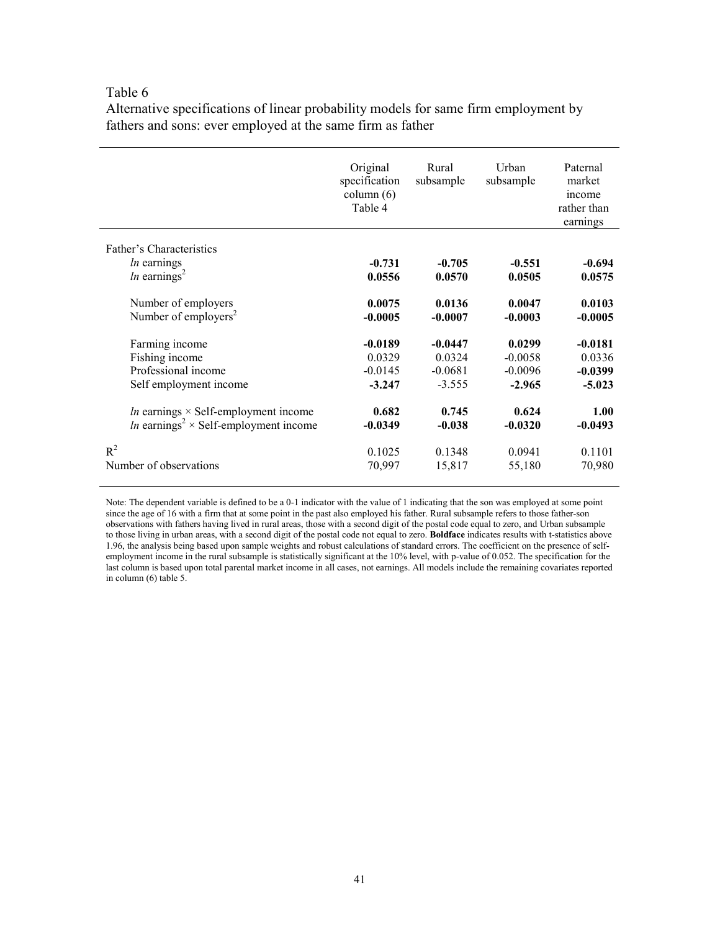Alternative specifications of linear probability models for same firm employment by fathers and sons: ever employed at the same firm as father

|                                                          | Original<br>specification<br>column (6)<br>Table 4 | Rural<br>subsample | Urban<br>subsample | Paternal<br>market<br>income<br>rather than<br>earnings |
|----------------------------------------------------------|----------------------------------------------------|--------------------|--------------------|---------------------------------------------------------|
| Father's Characteristics                                 |                                                    |                    |                    |                                                         |
| <i>ln</i> earnings                                       | $-0.731$                                           | $-0.705$           | $-0.551$           | $-0.694$                                                |
| <i>ln</i> earnings <sup>2</sup>                          | 0.0556                                             | 0.0570             | 0.0505             | 0.0575                                                  |
| Number of employers                                      | 0.0075                                             | 0.0136             | 0.0047             | 0.0103                                                  |
| Number of employers <sup>2</sup>                         | $-0.0005$                                          | $-0.0007$          | $-0.0003$          | $-0.0005$                                               |
| Farming income                                           | $-0.0189$                                          | $-0.0447$          | 0.0299             | $-0.0181$                                               |
| Fishing income                                           | 0.0329                                             | 0.0324             | $-0.0058$          | 0.0336                                                  |
| Professional income                                      | $-0.0145$                                          | $-0.0681$          | $-0.0096$          | $-0.0399$                                               |
| Self employment income                                   | $-3.247$                                           | $-3.555$           | $-2.965$           | $-5.023$                                                |
| <i>ln</i> earnings $\times$ Self-employment income       | 0.682                                              | 0.745              | 0.624              | 1.00                                                    |
| <i>ln</i> earnings <sup>2</sup> × Self-employment income | $-0.0349$                                          | $-0.038$           | $-0.0320$          | $-0.0493$                                               |
| $R^2$                                                    | 0.1025                                             | 0.1348             | 0.0941             | 0.1101                                                  |
| Number of observations                                   | 70,997                                             | 15,817             | 55,180             | 70,980                                                  |

Note: The dependent variable is defined to be a 0-1 indicator with the value of 1 indicating that the son was employed at some point since the age of 16 with a firm that at some point in the past also employed his father. Rural subsample refers to those father-son observations with fathers having lived in rural areas, those with a second digit of the postal code equal to zero, and Urban subsample to those living in urban areas, with a second digit of the postal code not equal to zero. **Boldface** indicates results with t-statistics above 1.96, the analysis being based upon sample weights and robust calculations of standard errors. The coefficient on the presence of selfemployment income in the rural subsample is statistically significant at the 10% level, with p-value of 0.052. The specification for the last column is based upon total parental market income in all cases, not earnings. All models include the remaining covariates reported in column (6) table 5.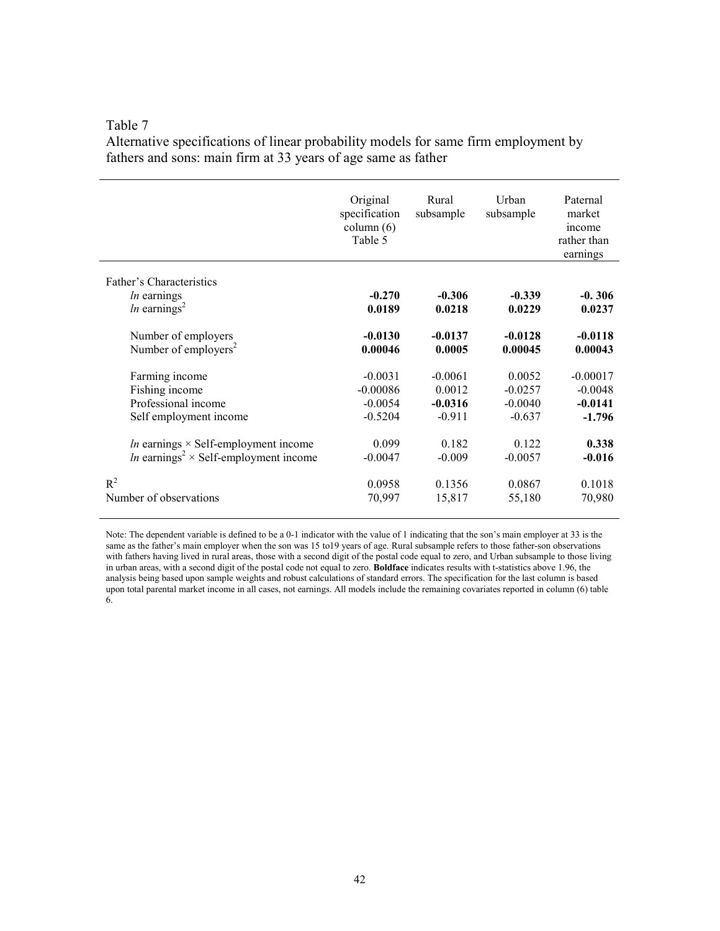Alternative specifications of linear probability models for same firm employment by fathers and sons: main firm at 33 years of age same as father

|                                                                                   | Original<br>specification<br>column $(6)$<br>Table 5 | Rural<br>subsample | Urban<br>subsample | Paternal<br>market<br>income<br>rather than<br>earnings |
|-----------------------------------------------------------------------------------|------------------------------------------------------|--------------------|--------------------|---------------------------------------------------------|
| Father's Characteristics<br><i>ln</i> earnings<br><i>ln</i> earnings <sup>2</sup> | $-0.270$<br>0.0189                                   | $-0.306$<br>0.0218 | $-0.339$<br>0.0229 | $-0.306$<br>0.0237                                      |
| Number of employers                                                               | $-0.0130$                                            | $-0.0137$          | $-0.0128$          | $-0.0118$                                               |
| Number of employers <sup>2</sup>                                                  | 0.00046                                              | 0.0005             | 0.00045            | 0.00043                                                 |
| Farming income                                                                    | $-0.0031$                                            | $-0.0061$          | 0.0052             | $-0.00017$                                              |
| Fishing income                                                                    | $-0.00086$                                           | 0.0012             | $-0.0257$          | $-0.0048$                                               |
| Professional income                                                               | $-0.0054$                                            | $-0.0316$          | $-0.0040$          | $-0.0141$                                               |
| Self employment income                                                            | $-0.5204$                                            | $-0.911$           | $-0.637$           | $-1.796$                                                |
| <i>ln</i> earnings $\times$ Self-employment income                                | 0.099                                                | 0.182              | 0.122              | 0.338                                                   |
| <i>ln</i> earnings <sup>2</sup> × Self-employment income                          | $-0.0047$                                            | $-0.009$           | $-0.0057$          | $-0.016$                                                |
| $R^2$                                                                             | 0.0958                                               | 0.1356             | 0.0867             | 0.1018                                                  |
| Number of observations                                                            | 70,997                                               | 15,817             | 55,180             | 70,980                                                  |

Note: The dependent variable is defined to be a 0-1 indicator with the value of 1 indicating that the son's main employer at 33 is the same as the father's main employer when the son was 15 to19 years of age. Rural subsample refers to those father-son observations with fathers having lived in rural areas, those with a second digit of the postal code equal to zero, and Urban subsample to those living in urban areas, with a second digit of the postal code not equal to zero. **Boldface** indicates results with t-statistics above 1.96, the analysis being based upon sample weights and robust calculations of standard errors. The specification for the last column is based upon total parental market income in all cases, not earnings. All models include the remaining covariates reported in column (6) table 6.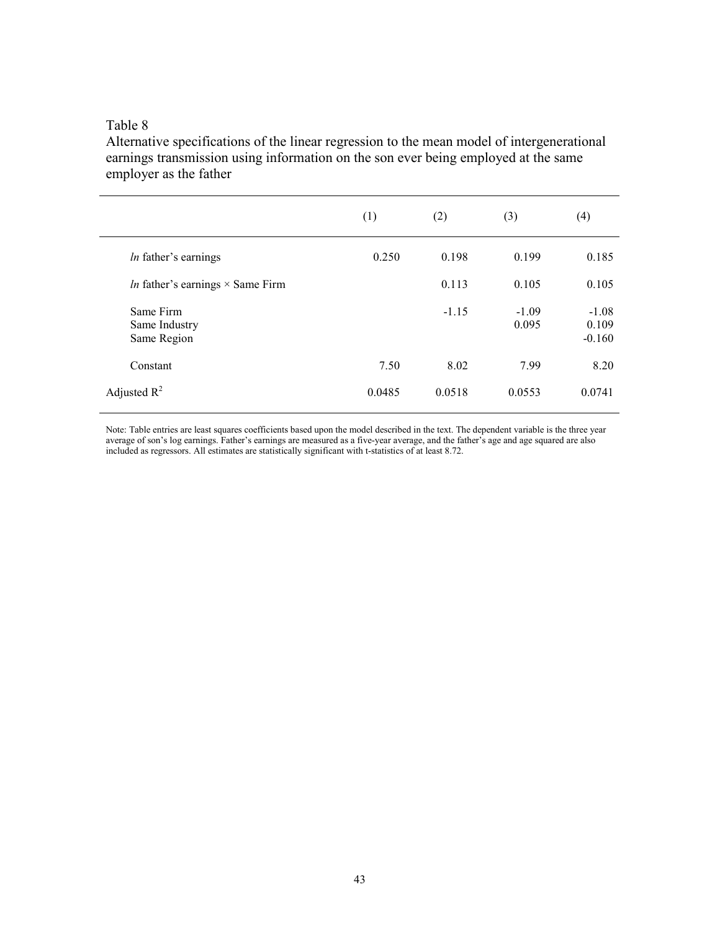Alternative specifications of the linear regression to the mean model of intergenerational earnings transmission using information on the son ever being employed at the same employer as the father

|                                                | (1)    | (2)     | (3)              | (4)                          |
|------------------------------------------------|--------|---------|------------------|------------------------------|
| <i>ln</i> father's earnings                    | 0.250  | 0.198   | 0.199            | 0.185                        |
| <i>In</i> father's earnings $\times$ Same Firm |        | 0.113   | 0.105            | 0.105                        |
| Same Firm<br>Same Industry<br>Same Region      |        | $-1.15$ | $-1.09$<br>0.095 | $-1.08$<br>0.109<br>$-0.160$ |
| Constant                                       | 7.50   | 8.02    | 7.99             | 8.20                         |
| Adjusted $R^2$                                 | 0.0485 | 0.0518  | 0.0553           | 0.0741                       |

Note: Table entries are least squares coefficients based upon the model described in the text. The dependent variable is the three year average of son's log earnings. Father's earnings are measured as a five-year average, and the father's age and age squared are also included as regressors. All estimates are statistically significant with t-statistics of at least 8.72.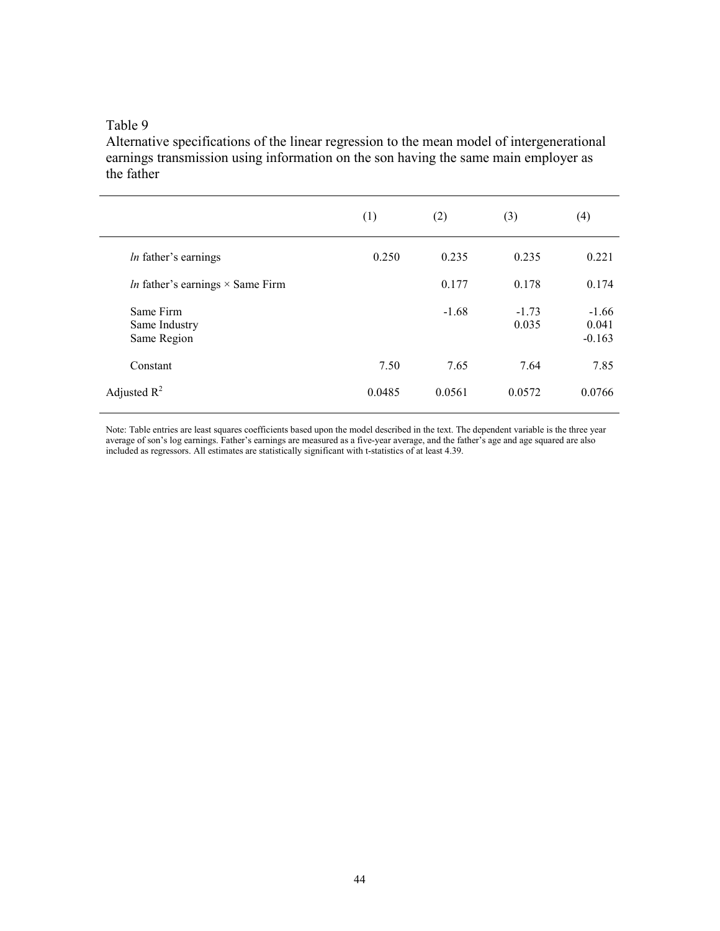Alternative specifications of the linear regression to the mean model of intergenerational earnings transmission using information on the son having the same main employer as the father

|                                                | (1)    | (2)     | (3)              | (4)                          |
|------------------------------------------------|--------|---------|------------------|------------------------------|
| <i>ln</i> father's earnings                    | 0.250  | 0.235   | 0.235            | 0.221                        |
| <i>ln</i> father's earnings $\times$ Same Firm |        | 0.177   | 0.178            | 0.174                        |
| Same Firm<br>Same Industry<br>Same Region      |        | $-1.68$ | $-1.73$<br>0.035 | $-1.66$<br>0.041<br>$-0.163$ |
| Constant                                       | 7.50   | 7.65    | 7.64             | 7.85                         |
| Adjusted $R^2$                                 | 0.0485 | 0.0561  | 0.0572           | 0.0766                       |

Note: Table entries are least squares coefficients based upon the model described in the text. The dependent variable is the three year average of son's log earnings. Father's earnings are measured as a five-year average, and the father's age and age squared are also included as regressors. All estimates are statistically significant with t-statistics of at least 4.39.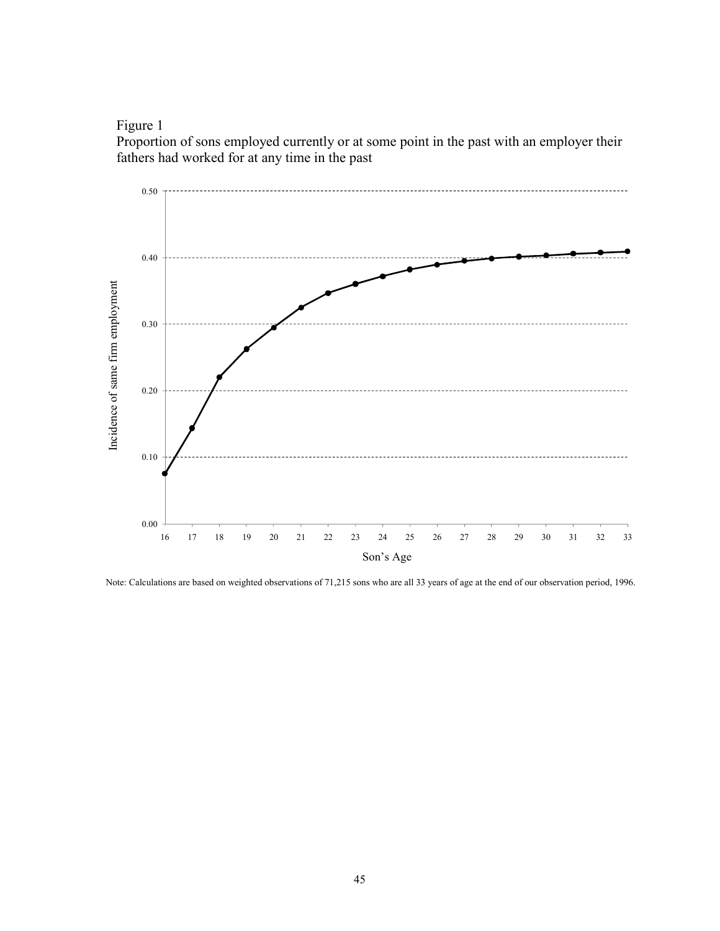Figure 1

Proportion of sons employed currently or at some point in the past with an employer their fathers had worked for at any time in the past



Note: Calculations are based on weighted observations of 71,215 sons who are all 33 years of age at the end of our observation period, 1996.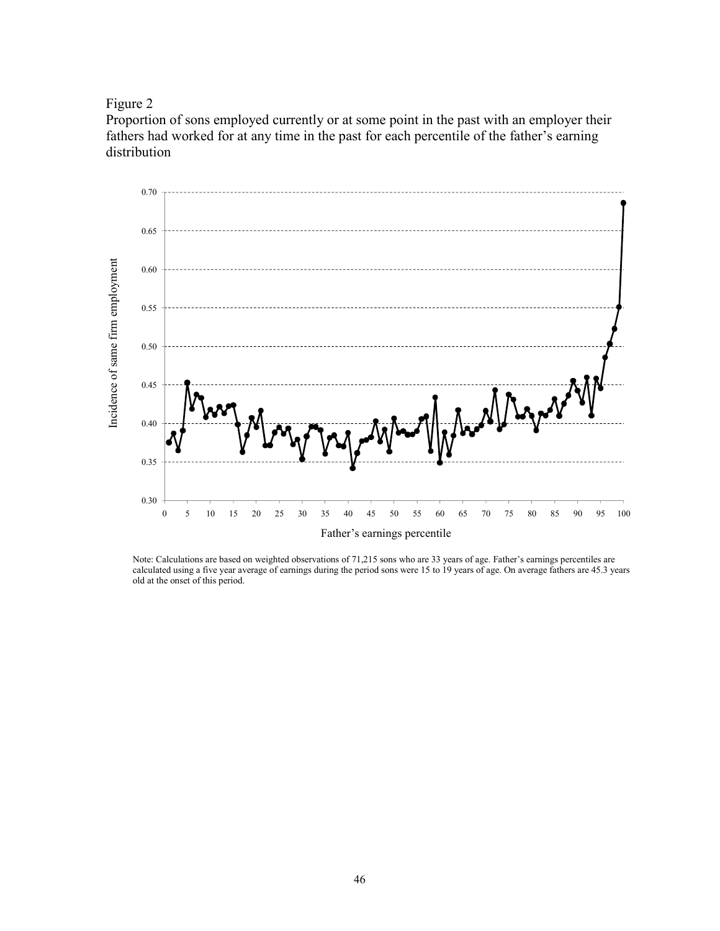Figure 2

Proportion of sons employed currently or at some point in the past with an employer their fathers had worked for at any time in the past for each percentile of the father's earning distribution



Note: Calculations are based on weighted observations of 71,215 sons who are 33 years of age. Father's earnings percentiles are calculated using a five year average of earnings during the period sons were 15 to 19 years of age. On average fathers are 45.3 years old at the onset of this period.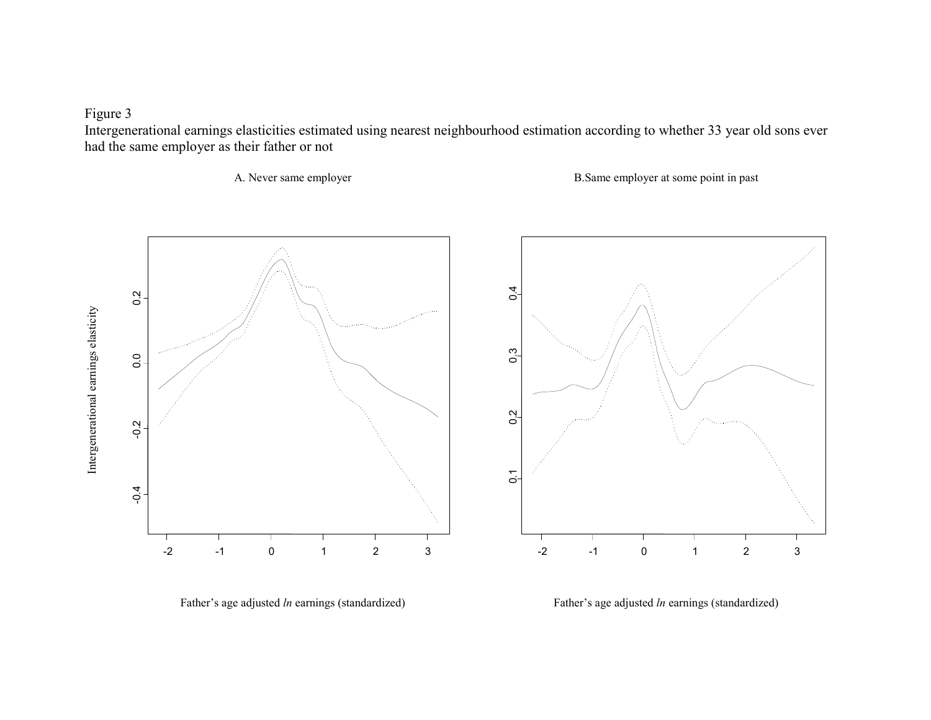Figure 3

 Intergenerational earnings elasticities estimated using nearest neighbourhood estimation according to whether 33 year old sons ever had the same employer as their father or not

 $0,4$ 

A. Never same employer B.Same employer at some point in past







Intergenerational earnings elasticity Intergenerational earnings elasticity